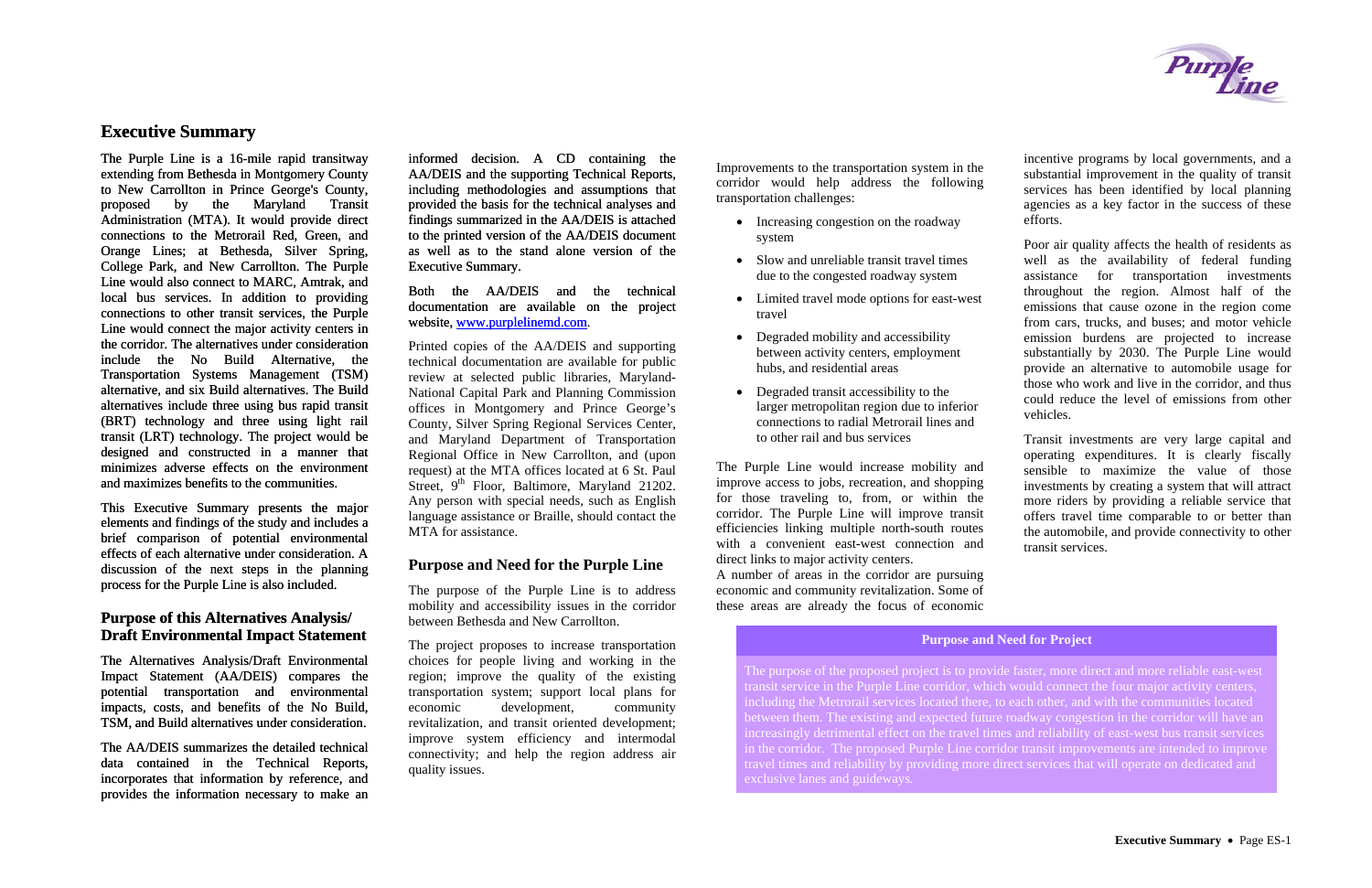## **Executive Summary**

The Purple Line is a 16-mile rapid transitway extending from Bethesda in Montgomery County to New Carrollton in Prince George's County, proposed by the Maryland Transit Administration (MTA). It would provide direct connections to the Metrorail Red, Green, and Orange Lines; at Bethesda, Silver Spring, College Park, and New Carrollton. The Purple Line would also connect to MARC, Amtrak, and local bus services. In addition to providing connections to other transit services, the Purple Line would connect the major activity centers in the corridor. The alternatives under consideration include the No Build Alternative, the Transportation Systems Management (TSM) alternative, and six Build alternatives. The Build alternatives include three using bus rapid transit (BRT) technology and three using light rail transit (LRT) technology. The project would be designed and constructed in a manner that minimizes adverse effects on the environment and maximizes benefits to the communities.

## **Purpose of this Alternatives Analysis/ Draft Environmental Impact Statement** The project proposes to increase transportation Purpose and Need for Project

This Executive Summary presents the major elements and findings of the study and includes a brief comparison of potential environmental effects of each alternative under consideration. A discussion of the next steps in the planning process for the Purple Line is also included.

The Alternatives Analysis/Draft Environmental Impact Statement (AA/DEIS) compares the potential transportation and environmental impacts, costs, and benefits of the No Build, TSM, and Build alternatives under consideration.

- Increasing congestion on the roadway system
- Slow and unreliable transit travel times due to the congested roadway system
- Limited travel mode options for east-west travel
- Degraded mobility and accessibility between activity centers, employment hubs, and residential areas
- Degraded transit accessibility to the larger metropolitan region due to inferior connections to radial Metrorail lines and to other rail and bus services

The AA/DEIS summarizes the detailed technical data contained in the Technical Reports, incorporates that information by reference, and provides the information necessary to make an informed decision. A CD containing the AA/DEIS and the supporting Technical Reports, including methodologies and assumptions that provided the basis for the technical analyses and findings summarized in the AA/DEIS is attached to the printed version of the AA/DEIS document as well as to the stand alone version of the Executive Summary.

[Both the AA/DEIS and the technical](http://www.purplelinemd.com/) [documentation are available on the project](http://www.purplelinemd.com/)  [website, www.purplelinemd.com](http://www.purplelinemd.com/).

Printed copies of the AA/DEIS and supporting technical documentation are available for public review at selected public libraries, Maryland-National Capital Park and Planning Commission offices in Montgomery and Prince George's County, Silver Spring Regional Services Center, and Maryland Department of Transportation Regional Office in New Carrollton, and (upon request) at the MTA offices located at 6 St. Paul Street,  $9<sup>th</sup>$  Floor, Baltimore, Maryland 21202. Any person with special needs, such as English language assistance or Braille, should contact the MTA for assistance.

#### **Purpose and Need for the Purple Line**

The purpose of the Purple Line is to address mobility and accessibility issues in the corridor between Bethesda and New Carrollton.

The project proposes to increase transportation choices for people living and working in the region; improve the quality of the existing transportation system; support local plans for economic development, community revitalization, and transit oriented development; improve system efficiency and intermodal connectivity; and help the region address air quality issues.

Improvements to the transportation system in the corridor would help address the following transportation challenges:

The Purple Line would increase mobility and improve access to jobs, recreation, and shopping for those traveling to, from, or within the corridor. The Purple Line will improve transit efficiencies linking multiple north-south routes with a convenient east-west connection and direct links to major activity centers.

A number of areas in the corridor are pursuing economic and community revitalization. Some of these areas are already the focus of economic

incentive programs by local governments, and a substantial improvement in the quality of transit services has been identified by local planning agencies as a key factor in the success of these efforts.

Poor air quality affects the health of residents as well as the availability of federal funding assistance for transportation investments throughout the region. Almost half of the emissions that cause ozone in the region come from cars, trucks, and buses; and motor vehicle emission burdens are projected to increase substantially by 2030. The Purple Line would provide an alternative to automobile usage for those who work and live in the corridor, and thus could reduce the level of emissions from other vehicles.

Transit investments are very large capital and operating expenditures. It is clearly fiscally sensible to maximize the value of those investments by creating a system that will attract more riders by providing a reliable service that offers travel time comparable to or better than the automobile, and provide connectivity to other transit services.

The purpose of the proposed project is to provide faster, more direct and more reliable east-west transit service in the Purple Line corridor, which would connect the four major activity centers, including the Metrorail services located there, to each other, and with the communities located between them. The existing and expected future roadway congestion in the corridor will have an increasingly detrimental effect on the travel times and reliability of east-west bus transit services in the corridor. The proposed Purple Line corridor transit improvements are intended to improve travel times and reliability by providing more direct services that will operate on dedicated and

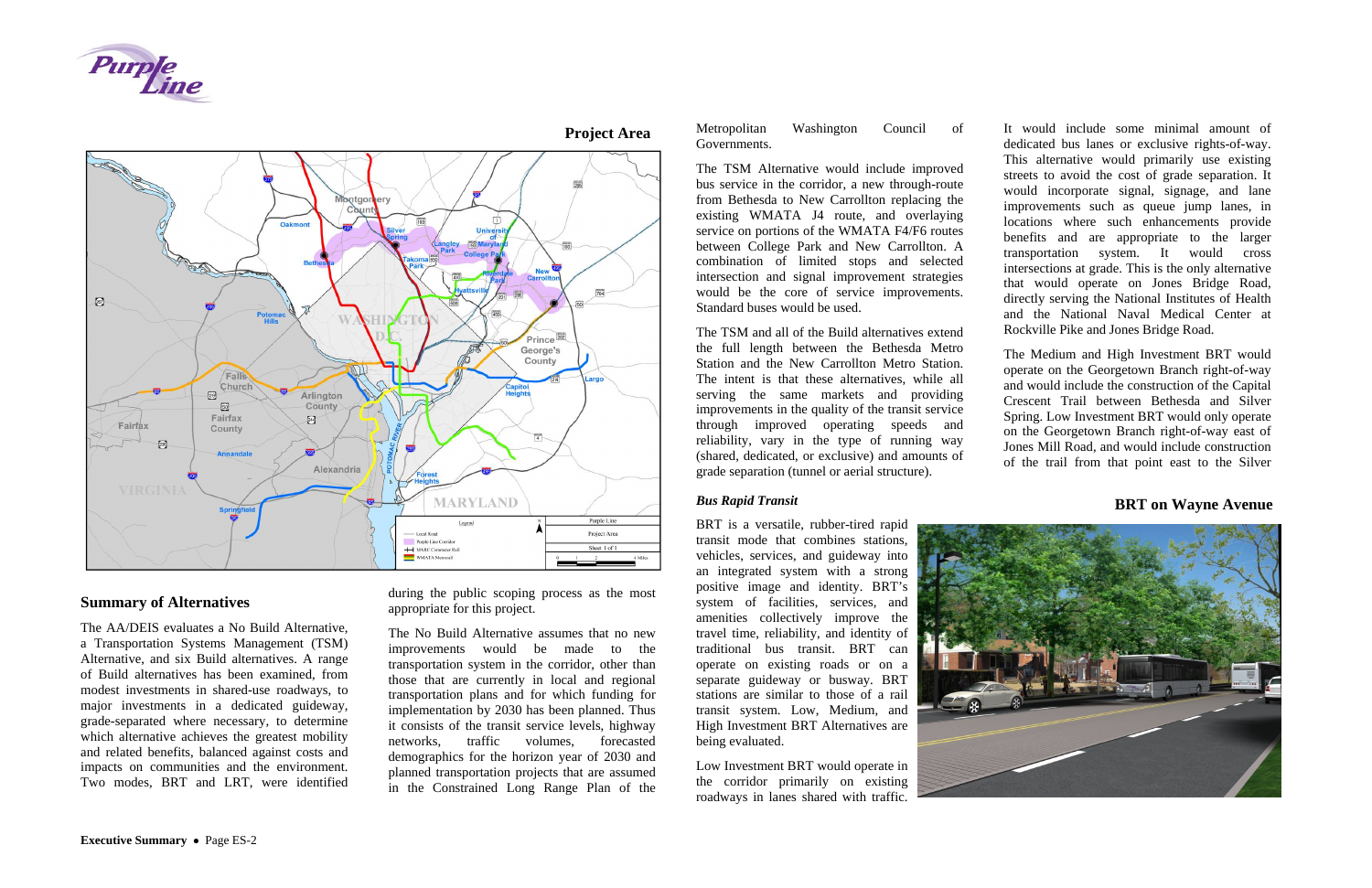



## **Summary of Alternatives**

The AA/DEIS evaluates a No Build Alternative, a Transportation Systems Management (TSM) Alternative, and six Build alternatives. A range of Build alternatives has been examined, from modest investments in shared-use roadways, to major investments in a dedicated guideway, grade-separated where necessary, to determine which alternative achieves the greatest mobility and related benefits, balanced against costs and impacts on communities and the environment. Two modes, BRT and LRT, were identified

during the public scoping process as the most appropriate for this project.

The No Build Alternative assumes that no new improvements would be made to the transportation system in the corridor, other than those that are currently in local and regional transportation plans and for which funding for implementation by 2030 has been planned. Thus it consists of the transit service levels, highway networks, traffic volumes, forecasted demographics for the horizon year of 2030 and planned transportation projects that are assumed in the Constrained Long Range Plan of the

Metropolitan Washington Council of Governments.

The TSM Alternative would include improved bus service in the corridor, a new through-route from Bethesda to New Carrollton replacing the existing WMATA J4 route, and overlaying service on portions of the WMATA F4/F6 routes between College Park and New Carrollton. A combination of limited stops and selected intersection and signal improvement strategies would be the core of service improvements. Standard buses would be used.

The TSM and all of the Build alternatives extend the full length between the Bethesda Metro Station and the New Carrollton Metro Station. The intent is that these alternatives, while all serving the same markets and providing improvements in the quality of the transit service through improved operating speeds and reliability, vary in the type of running way (shared, dedicated, or exclusive) and amounts of grade separation (tunnel or aerial structure).

#### *Bus Rapid Transit*

BRT is a versatile, rubber-tired rapid transit mode that combines stations, vehicles, services, and guideway into an integrated system with a strong positive image and identity. BRT's system of facilities, services, and amenities collectively improve the travel time, reliability, and identity of traditional bus transit. BRT can operate on existing roads or on a separate guideway or busway. BRT stations are similar to those of a rail transit system. Low, Medium, and High Investment BRT Alternatives are being evaluated.

Low Investment BRT would operate in the corridor primarily on existing roadways in lanes shared with traffic.



It would include some minimal amount of dedicated bus lanes or exclusive rights-of-way. This alternative would primarily use existing streets to avoid the cost of grade separation. It would incorporate signal, signage, and lane improvements such as queue jump lanes, in locations where such enhancements provide benefits and are appropriate to the larger transportation system. It would cross intersections at grade. This is the only alternative that would operate on Jones Bridge Road, directly serving the National Institutes of Health and the National Naval Medical Center at Rockville Pike and Jones Bridge Road.

The Medium and High Investment BRT would operate on the Georgetown Branch right-of-way and would include the construction of the Capital Crescent Trail between Bethesda and Silver Spring. Low Investment BRT would only operate on the Georgetown Branch right-of-way east of Jones Mill Road, and would include construction of the trail from that point east to the Silver



**BRT on Wayne Avenue** 

## **Project Area**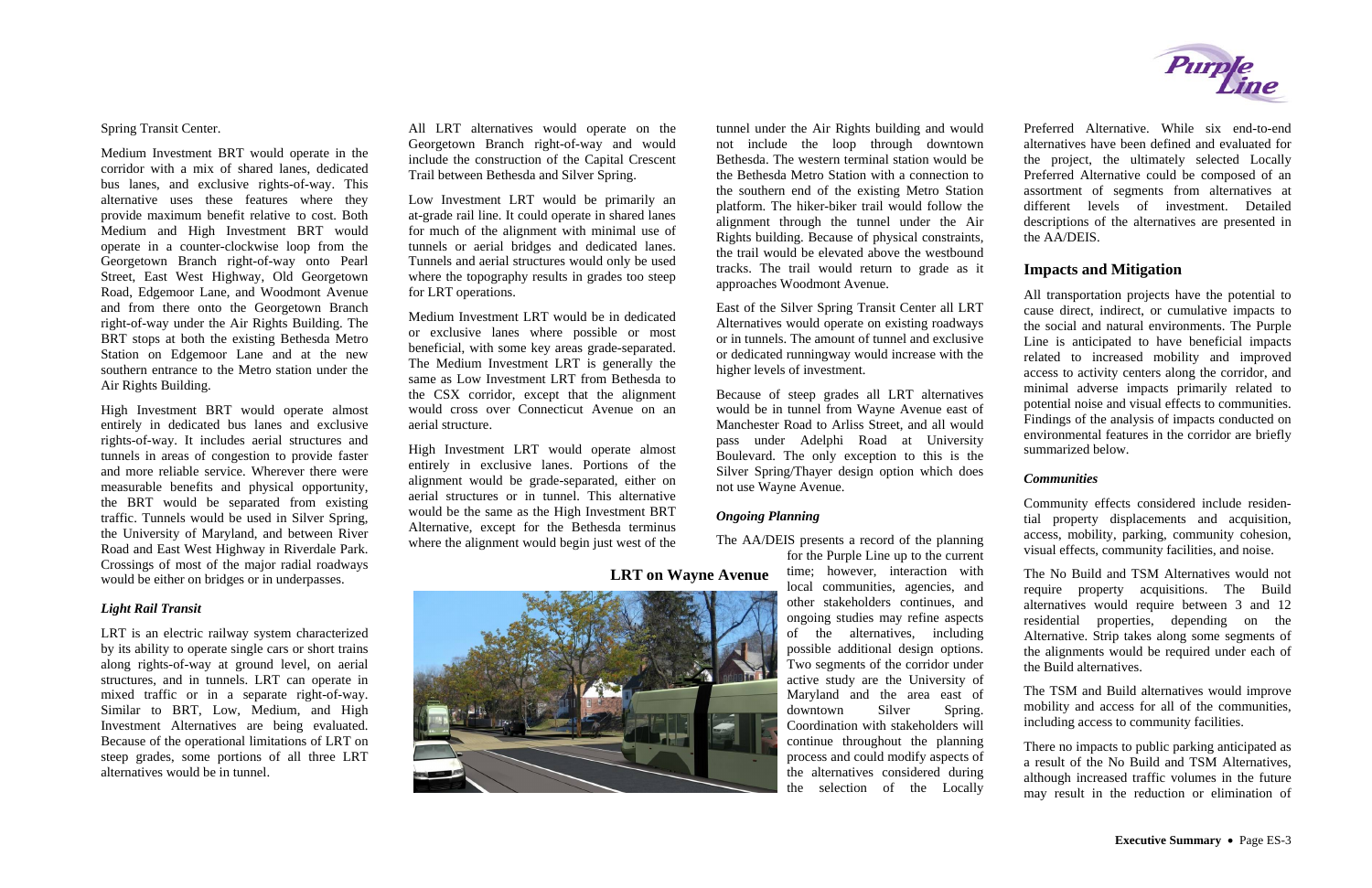Spring Transit Center.

Medium Investment BRT would operate in the corridor with a mix of shared lanes, dedicated bus lanes, and exclusive rights-of-way. This alternative uses these features where they provide maximum benefit relative to cost. Both Medium and High Investment BRT would operate in a counter-clockwise loop from the Georgetown Branch right-of-way onto Pearl Street, East West Highway, Old Georgetown Road, Edgemoor Lane, and Woodmont Avenue and from there onto the Georgetown Branch right-of-way under the Air Rights Building. The BRT stops at both the existing Bethesda Metro Station on Edgemoor Lane and at the new southern entrance to the Metro station under the Air Rights Building.

High Investment BRT would operate almost entirely in dedicated bus lanes and exclusive rights-of-way. It includes aerial structures and tunnels in areas of congestion to provide faster and more reliable service. Wherever there were measurable benefits and physical opportunity, the BRT would be separated from existing traffic. Tunnels would be used in Silver Spring, the University of Maryland, and between River Road and East West Highway in Riverdale Park. Crossings of most of the major radial roadways would be either on bridges or in underpasses.

#### *Light Rail Transit*

LRT is an electric railway system characterized by its ability to operate single cars or short trains along rights-of-way at ground level, on aerial structures, and in tunnels. LRT can operate in mixed traffic or in a separate right-of-way. Similar to BRT, Low, Medium, and High Investment Alternatives are being evaluated. Because of the operational limitations of LRT on steep grades, some portions of all three LRT alternatives would be in tunnel.

All LRT alternatives would operate on the Georgetown Branch right-of-way and would include the construction of the Capital Crescent Trail between Bethesda and Silver Spring.

Low Investment LRT would be primarily an at-grade rail line. It could operate in shared lanes for much of the alignment with minimal use of tunnels or aerial bridges and dedicated lanes. Tunnels and aerial structures would only be used where the topography results in grades too steep for LRT operations.

Medium Investment LRT would be in dedicated or exclusive lanes where possible or most beneficial, with some key areas grade-separated. The Medium Investment LRT is generally the same as Low Investment LRT from Bethesda to the CSX corridor, except that the alignment would cross over Connecticut Avenue on an aerial structure.

High Investment LRT would operate almost entirely in exclusive lanes. Portions of the alignment would be grade-separated, either on aerial structures or in tunnel. This alternative would be the same as the High Investment BRT Alternative, except for the Bethesda terminus where the alignment would begin just west of the

> **LRT on Wayne Avenue** time; however, interaction with The No Build and TSM Alternatives would not require property acquisitions. The Build alternatives would require between 3 and 12 residential properties, depending on the Alternative. Strip takes along some segments of the alignments would be required under each of the Build alternatives.

tunnel under the Air Rights building and would not include the loop through downtown Bethesda. The western terminal station would be the Bethesda Metro Station with a connection to the southern end of the existing Metro Station platform. The hiker-biker trail would follow the alignment through the tunnel under the Air Rights building. Because of physical constraints, the trail would be elevated above the westbound tracks. The trail would return to grade as it approaches Woodmont Avenue.

East of the Silver Spring Transit Center all LRT Alternatives would operate on existing roadways or in tunnels. The amount of tunnel and exclusive or dedicated runningway would increase with the higher levels of investment.

Because of steep grades all LRT alternatives would be in tunnel from Wayne Avenue east of Manchester Road to Arliss Street, and all would pass under Adelphi Road at University Boulevard. The only exception to this is the Silver Spring/Thayer design option which does not use Wayne Avenue.

#### *Ongoing Planning*

The AA/DEIS presents a record of the planning



for the Purple Line up to the current time; however, interaction with local communities, agencies, and other stakeholders continues, and ongoing studies may refine aspects of the alternatives, including possible additional design options. Two segments of the corridor under active study are the University of Maryland and the area east of downtown Silver Spring. Coordination with stakeholders will continue throughout the planning process and could modify aspects of the alternatives considered during the selection of the Locally



Preferred Alternative. While six end-to-end alternatives have been defined and evaluated for the project, the ultimately selected Locally Preferred Alternative could be composed of an assortment of segments from alternatives at different levels of investment. Detailed descriptions of the alternatives are presented in the AA/DEIS.

## **Impacts and Mitigation**

All transportation projects have the potential to cause direct, indirect, or cumulative impacts to the social and natural environments. The Purple Line is anticipated to have beneficial impacts related to increased mobility and improved access to activity centers along the corridor, and minimal adverse impacts primarily related to potential noise and visual effects to communities. Findings of the analysis of impacts conducted on environmental features in the corridor are briefly summarized below.

## *Communities*

Community effects considered include residential property displacements and acquisition, access, mobility, parking, community cohesion, visual effects, community facilities, and noise.

The TSM and Build alternatives would improve mobility and access for all of the communities, including access to community facilities.

There no impacts to public parking anticipated as a result of the No Build and TSM Alternatives, although increased traffic volumes in the future may result in the reduction or elimination of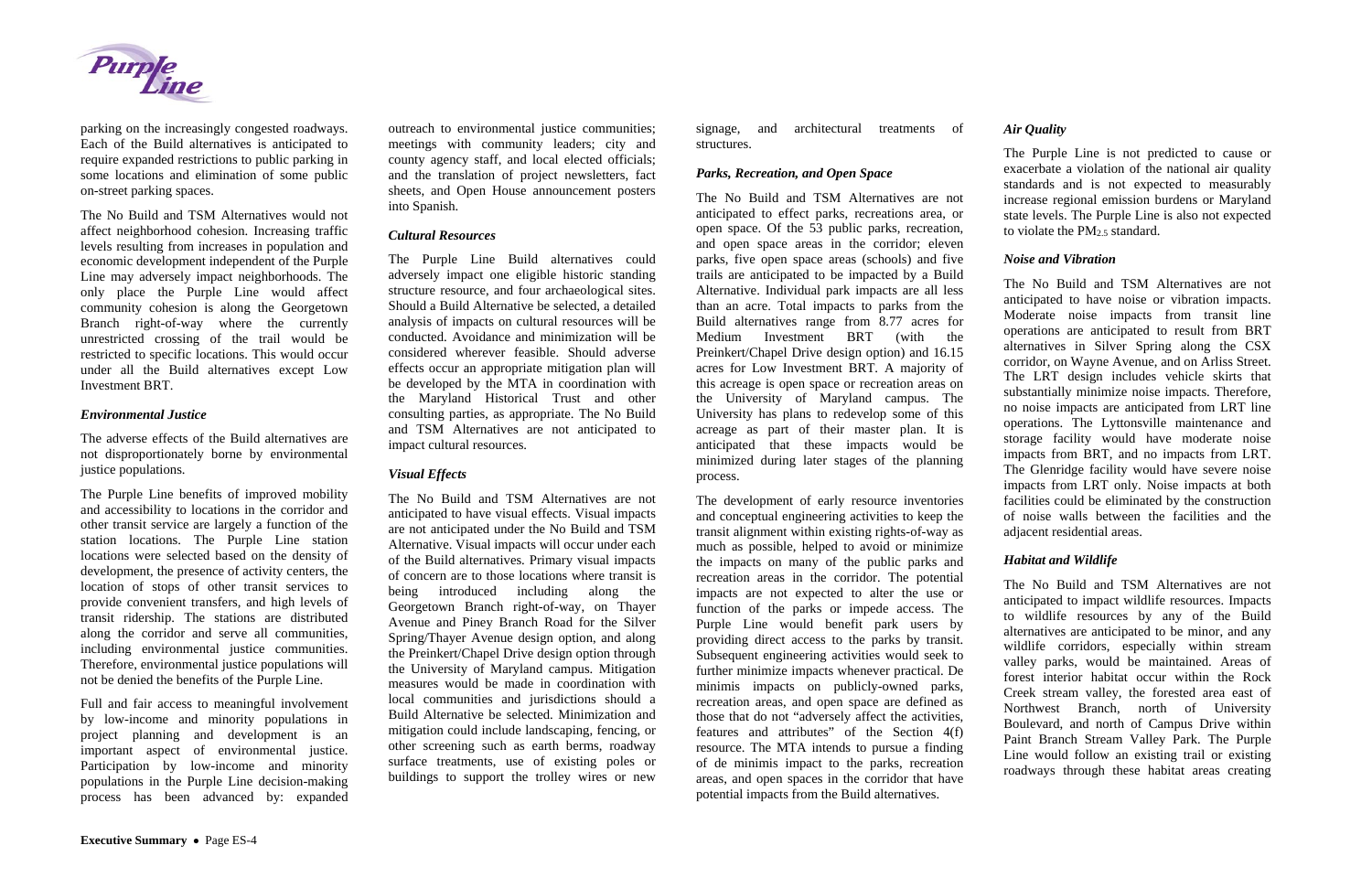

parking on the increasingly congested roadways. Each of the Build alternatives is anticipated to require expanded restrictions to public parking in some locations and elimination of some public on-street parking spaces.

The No Build and TSM Alternatives would not affect neighborhood cohesion. Increasing traffic levels resulting from increases in population and economic development independent of the Purple Line may adversely impact neighborhoods. The only place the Purple Line would affect community cohesion is along the Georgetown Branch right-of-way where the currently unrestricted crossing of the trail would be restricted to specific locations. This would occur under all the Build alternatives except Low Investment BRT.

#### *Environmental Justice*

The adverse effects of the Build alternatives are not disproportionately borne by environmental justice populations.

The Purple Line benefits of improved mobility and accessibility to locations in the corridor and other transit service are largely a function of the station locations. The Purple Line station locations were selected based on the density of development, the presence of activity centers, the location of stops of other transit services to provide convenient transfers, and high levels of transit ridership. The stations are distributed along the corridor and serve all communities, including environmental justice communities. Therefore, environmental justice populations will not be denied the benefits of the Purple Line.

Full and fair access to meaningful involvement by low-income and minority populations in project planning and development is an important aspect of environmental justice. Participation by low-income and minority populations in the Purple Line decision-making process has been advanced by: expanded

outreach to environmental justice communities; meetings with community leaders; city and county agency staff, and local elected officials; and the translation of project newsletters, fact sheets, and Open House announcement posters into Spanish.

#### *Cultural Resources*

The Purple Line Build alternatives could adversely impact one eligible historic standing structure resource, and four archaeological sites. Should a Build Alternative be selected, a detailed analysis of impacts on cultural resources will be conducted. Avoidance and minimization will be considered wherever feasible. Should adverse effects occur an appropriate mitigation plan will be developed by the MTA in coordination with the Maryland Historical Trust and other consulting parties, as appropriate. The No Build and TSM Alternatives are not anticipated to impact cultural resources.

## *Visual Effects*

The Purple Line is not predicted to cause or exacerbate a violation of the national air quality standards and is not expected to measurably increase regional emission burdens or Maryland state levels. The Purple Line is also not expected to violate the  $PM_2$  s standard.

The No Build and TSM Alternatives are not anticipated to have visual effects. Visual impacts are not anticipated under the No Build and TSM Alternative. Visual impacts will occur under each of the Build alternatives. Primary visual impacts of concern are to those locations where transit is being introduced including along the Georgetown Branch right-of-way, on Thayer Avenue and Piney Branch Road for the Silver Spring/Thayer Avenue design option, and along the Preinkert/Chapel Drive design option through the University of Maryland campus. Mitigation measures would be made in coordination with local communities and jurisdictions should a Build Alternative be selected. Minimization and mitigation could include landscaping, fencing, or other screening such as earth berms, roadway surface treatments, use of existing poles or buildings to support the trolley wires or new

signage, and architectural treatments of structures.

### *Parks, Recreation, and Open Space*

The No Build and TSM Alternatives are not anticipated to effect parks, recreations area, or open space. Of the 53 public parks, recreation, and open space areas in the corridor; eleven parks, five open space areas (schools) and five trails are anticipated to be impacted by a Build Alternative. Individual park impacts are all less than an acre. Total impacts to parks from the Build alternatives range from 8.77 acres for Medium Investment BRT (with the Preinkert/Chapel Drive design option) and 16.15 acres for Low Investment BRT. A majority of this acreage is open space or recreation areas on the University of Maryland campus. The University has plans to redevelop some of this acreage as part of their master plan. It is anticipated that these impacts would be minimized during later stages of the planning process.

The development of early resource inventories and conceptual engineering activities to keep the transit alignment within existing rights-of-way as much as possible, helped to avoid or minimize the impacts on many of the public parks and recreation areas in the corridor. The potential impacts are not expected to alter the use or function of the parks or impede access. The Purple Line would benefit park users by providing direct access to the parks by transit. Subsequent engineering activities would seek to further minimize impacts whenever practical. De minimis impacts on publicly-owned parks, recreation areas, and open space are defined as those that do not "adversely affect the activities, features and attributes" of the Section 4(f) resource. The MTA intends to pursue a finding of de minimis impact to the parks, recreation areas, and open spaces in the corridor that have potential impacts from the Build alternatives.

## *Air Quality*

## *Noise and Vibration*

The No Build and TSM Alternatives are not anticipated to have noise or vibration impacts. Moderate noise impacts from transit line operations are anticipated to result from BRT alternatives in Silver Spring along the CSX corridor, on Wayne Avenue, and on Arliss Street. The LRT design includes vehicle skirts that substantially minimize noise impacts. Therefore, no noise impacts are anticipated from LRT line operations. The Lyttonsville maintenance and storage facility would have moderate noise impacts from BRT, and no impacts from LRT. The Glenridge facility would have severe noise impacts from LRT only. Noise impacts at both facilities could be eliminated by the construction of noise walls between the facilities and the adjacent residential areas.

## *Habitat and Wildlife*

The No Build and TSM Alternatives are not anticipated to impact wildlife resources. Impacts to wildlife resources by any of the Build alternatives are anticipated to be minor, and any wildlife corridors, especially within stream valley parks, would be maintained. Areas of forest interior habitat occur within the Rock Creek stream valley, the forested area east of Northwest Branch, north of University Boulevard, and north of Campus Drive within Paint Branch Stream Valley Park. The Purple Line would follow an existing trail or existing roadways through these habitat areas creating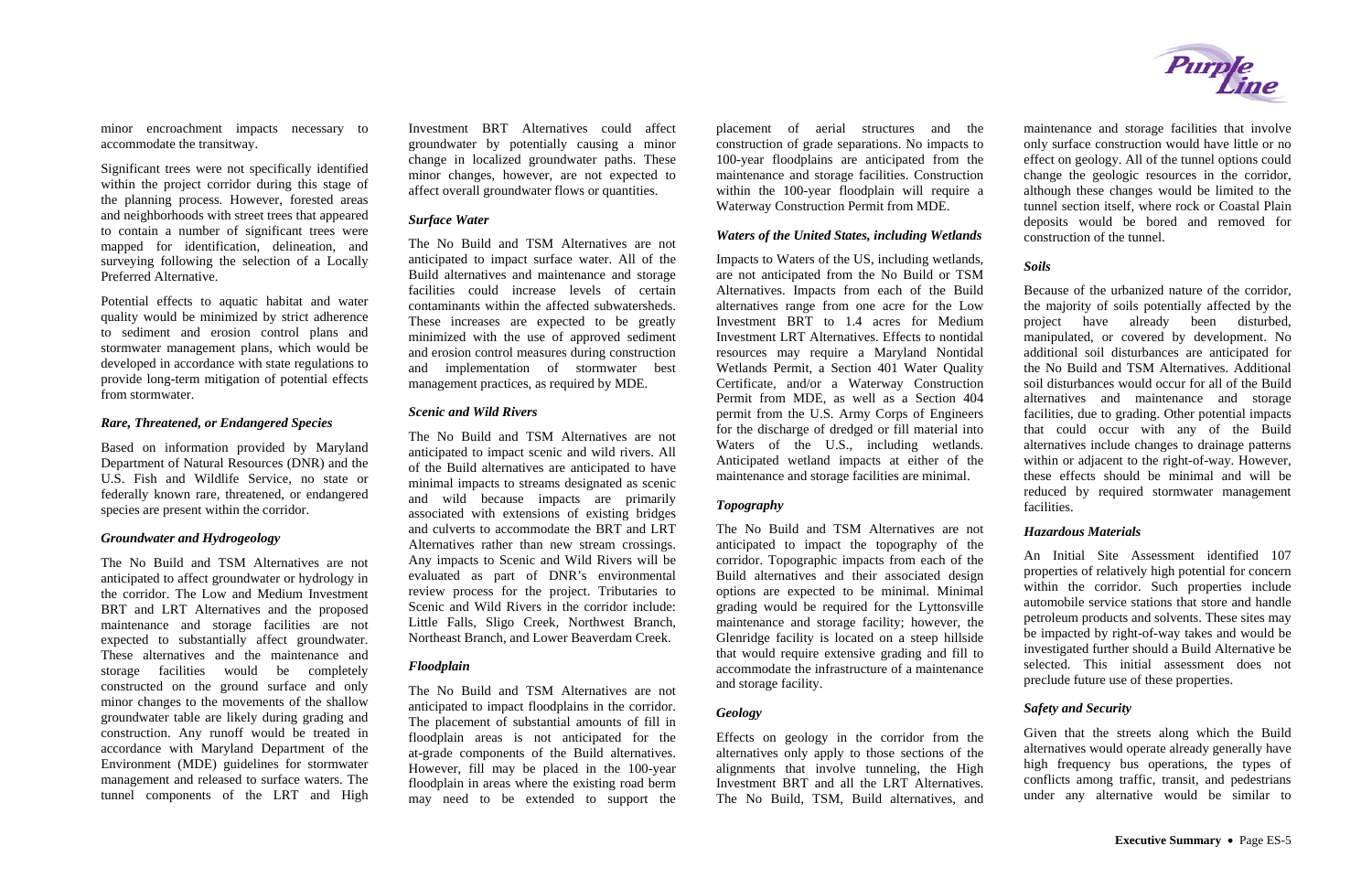minor encroachment impacts necessary to accommodate the transitway.

Significant trees were not specifically identified within the project corridor during this stage of the planning process. However, forested areas and neighborhoods with street trees that appeared to contain a number of significant trees were mapped for identification, delineation, and surveying following the selection of a Locally Preferred Alternative.

Potential effects to aquatic habitat and water quality would be minimized by strict adherence to sediment and erosion control plans and stormwater management plans, which would be developed in accordance with state regulations to provide long-term mitigation of potential effects from stormwater.

#### *Rare, Threatened, or Endangered Species*

Based on information provided by Maryland Department of Natural Resources (DNR) and the U.S. Fish and Wildlife Service, no state or federally known rare, threatened, or endangered species are present within the corridor.

#### *Groundwater and Hydrogeology*

The No Build and TSM Alternatives are not anticipated to affect groundwater or hydrology in the corridor. The Low and Medium Investment BRT and LRT Alternatives and the proposed maintenance and storage facilities are not expected to substantially affect groundwater. These alternatives and the maintenance and storage facilities would be completely constructed on the ground surface and only minor changes to the movements of the shallow groundwater table are likely during grading and construction. Any runoff would be treated in accordance with Maryland Department of the Environment (MDE) guidelines for stormwater management and released to surface waters. The tunnel components of the LRT and High

Investment BRT Alternatives could affect groundwater by potentially causing a minor change in localized groundwater paths. These minor changes, however, are not expected to affect overall groundwater flows or quantities.

#### *Surface Water*

The No Build and TSM Alternatives are not anticipated to impact surface water. All of the Build alternatives and maintenance and storage facilities could increase levels of certain contaminants within the affected subwatersheds. These increases are expected to be greatly minimized with the use of approved sediment and erosion control measures during construction and implementation of stormwater best management practices, as required by MDE.

#### *Scenic and Wild Rivers*

The No Build and TSM Alternatives are not anticipated to impact scenic and wild rivers. All of the Build alternatives are anticipated to have minimal impacts to streams designated as scenic and wild because impacts are primarily associated with extensions of existing bridges and culverts to accommodate the BRT and LRT Alternatives rather than new stream crossings. Any impacts to Scenic and Wild Rivers will be evaluated as part of DNR's environmental review process for the project. Tributaries to Scenic and Wild Rivers in the corridor include: Little Falls, Sligo Creek, Northwest Branch, Northeast Branch, and Lower Beaverdam Creek.

#### *Floodplain*

The No Build and TSM Alternatives are not anticipated to impact floodplains in the corridor. The placement of substantial amounts of fill in floodplain areas is not anticipated for the at-grade components of the Build alternatives. However, fill may be placed in the 100-year floodplain in areas where the existing road berm may need to be extended to support the

placement of aerial structures and the construction of grade separations. No impacts to 100-year floodplains are anticipated from the maintenance and storage facilities. Construction within the 100-year floodplain will require a Waterway Construction Permit from MDE.

#### *Waters of the United States, including Wetlands*

Impacts to Waters of the US, including wetlands, are not anticipated from the No Build or TSM Alternatives. Impacts from each of the Build alternatives range from one acre for the Low Investment BRT to 1.4 acres for Medium Investment LRT Alternatives. Effects to nontidal resources may require a Maryland Nontidal Wetlands Permit, a Section 401 Water Quality Certificate, and/or a Waterway Construction Permit from MDE, as well as a Section 404 permit from the U.S. Army Corps of Engineers for the discharge of dredged or fill material into Waters of the U.S., including wetlands. Anticipated wetland impacts at either of the maintenance and storage facilities are minimal.

## *Topography*

The No Build and TSM Alternatives are not anticipated to impact the topography of the corridor. Topographic impacts from each of the Build alternatives and their associated design options are expected to be minimal. Minimal grading would be required for the Lyttonsville maintenance and storage facility; however, the Glenridge facility is located on a steep hillside that would require extensive grading and fill to accommodate the infrastructure of a maintenance and storage facility.

## *Geology*

Effects on geology in the corridor from the alternatives only apply to those sections of the alignments that involve tunneling, the High Investment BRT and all the LRT Alternatives. The No Build, TSM, Build alternatives, and



maintenance and storage facilities that involve only surface construction would have little or no effect on geology. All of the tunnel options could change the geologic resources in the corridor, although these changes would be limited to the tunnel section itself, where rock or Coastal Plain deposits would be bored and removed for construction of the tunnel.

## *Soils*

Because of the urbanized nature of the corridor, the majority of soils potentially affected by the project have already been disturbed, manipulated, or covered by development. No additional soil disturbances are anticipated for the No Build and TSM Alternatives. Additional soil disturbances would occur for all of the Build alternatives and maintenance and storage facilities, due to grading. Other potential impacts that could occur with any of the Build alternatives include changes to drainage patterns within or adjacent to the right-of-way. However, these effects should be minimal and will be reduced by required stormwater management facilities.

## *Hazardous Materials*

An Initial Site Assessment identified 107 properties of relatively high potential for concern within the corridor. Such properties include automobile service stations that store and handle petroleum products and solvents. These sites may be impacted by right-of-way takes and would be investigated further should a Build Alternative be selected. This initial assessment does not preclude future use of these properties.

## *Safety and Security*

Given that the streets along which the Build alternatives would operate already generally have high frequency bus operations, the types of conflicts among traffic, transit, and pedestrians under any alternative would be similar to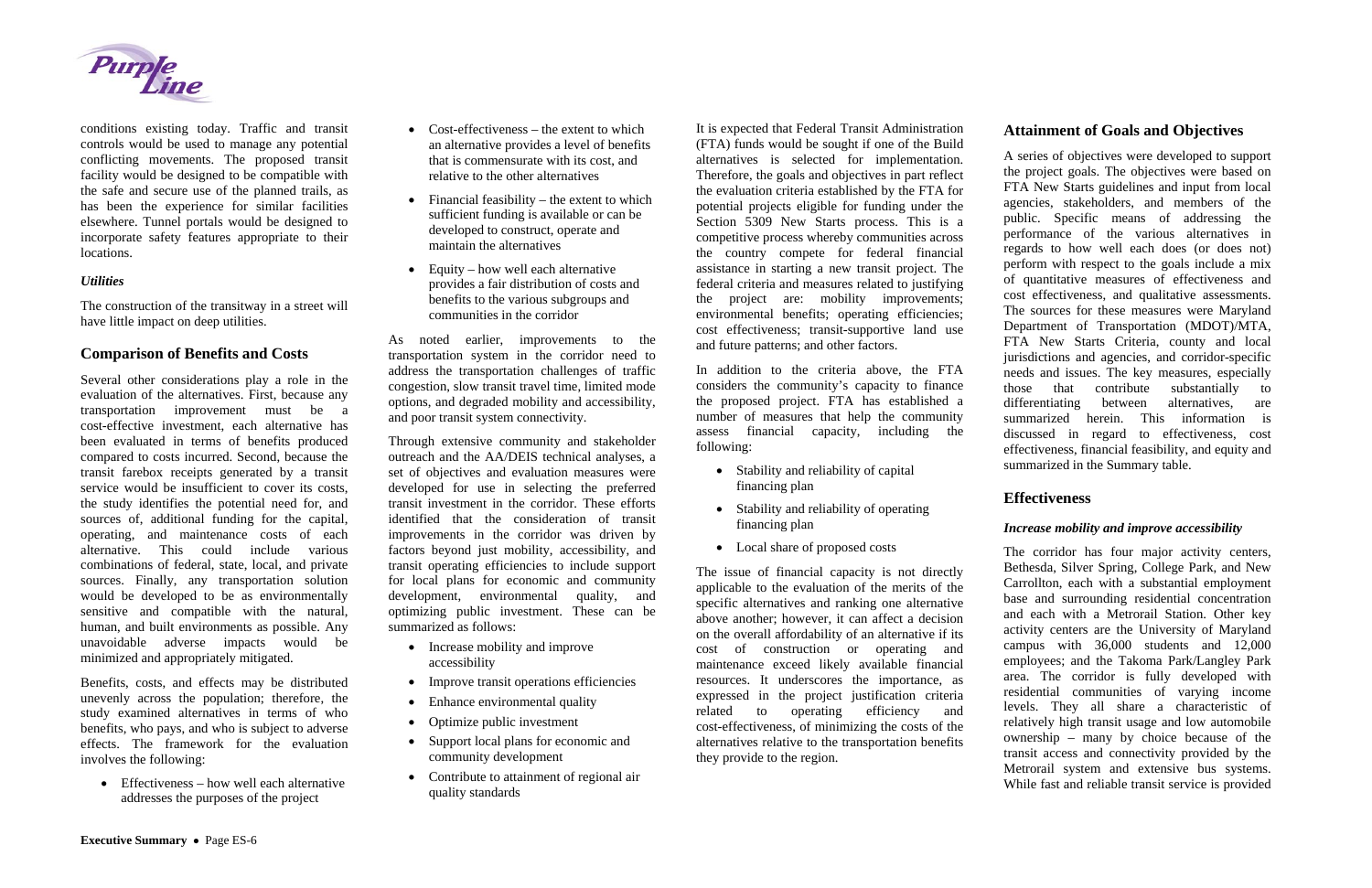

conditions existing today. Traffic and transit controls would be used to manage any potential conflicting movements. The proposed transit facility would be designed to be compatible with the safe and secure use of the planned trails, as has been the experience for similar facilities elsewhere. Tunnel portals would be designed to incorporate safety features appropriate to their locations.

#### *Utilities*

The construction of the transitway in a street will have little impact on deep utilities.

## **Comparison of Benefits and Costs**

• Effectiveness – how well each alternative addresses the purposes of the project

Several other considerations play a role in the evaluation of the alternatives. First, because any transportation improvement must be a cost-effective investment, each alternative has been evaluated in terms of benefits produced compared to costs incurred. Second, because the transit farebox receipts generated by a transit service would be insufficient to cover its costs, the study identifies the potential need for, and sources of, additional funding for the capital, operating, and maintenance costs of each alternative. This could include various combinations of federal, state, local, and private sources. Finally, any transportation solution would be developed to be as environmentally sensitive and compatible with the natural, human, and built environments as possible. Any unavoidable adverse impacts would be minimized and appropriately mitigated.

- Cost-effectiveness the extent to which an alternative provides a level of benefits that is commensurate with its cost, and relative to the other alternatives
- Financial feasibility the extent to which sufficient funding is available or can be developed to construct, operate and maintain the alternatives
- Equity how well each alternative provides a fair distribution of costs and benefits to the various subgroups and communities in the corridor

Benefits, costs, and effects may be distributed unevenly across the population; therefore, the study examined alternatives in terms of who benefits, who pays, and who is subject to adverse effects. The framework for the evaluation involves the following:

- Increase mobility and improve accessibility
- Improve transit operations efficiencies
- Enhance environmental quality
- Optimize public investment
- Support local plans for economic and community development
- Contribute to attainment of regional air quality standards

As noted earlier, improvements to the transportation system in the corridor need to address the transportation challenges of traffic congestion, slow transit travel time, limited mode options, and degraded mobility and accessibility, and poor transit system connectivity.

Through extensive community and stakeholder outreach and the AA/DEIS technical analyses, a set of objectives and evaluation measures were developed for use in selecting the preferred transit investment in the corridor. These efforts identified that the consideration of transit improvements in the corridor was driven by factors beyond just mobility, accessibility, and transit operating efficiencies to include support for local plans for economic and community development, environmental quality, and optimizing public investment. These can be summarized as follows:

It is expected that Federal Transit Administration (FTA) funds would be sought if one of the Build alternatives is selected for implementation. Therefore, the goals and objectives in part reflect the evaluation criteria established by the FTA for potential projects eligible for funding under the Section 5309 New Starts process. This is a competitive process whereby communities across the country compete for federal financial assistance in starting a new transit project. The federal criteria and measures related to justifying the project are: mobility improvements; environmental benefits; operating efficiencies; cost effectiveness; transit-supportive land use and future patterns; and other factors.

In addition to the criteria above, the FTA considers the community's capacity to finance the proposed project. FTA has established a number of measures that help the community assess financial capacity, including the following:

- Stability and reliability of capital financing plan
- Stability and reliability of operating financing plan
- Local share of proposed costs

The issue of financial capacity is not directly applicable to the evaluation of the merits of the specific alternatives and ranking one alternative above another; however, it can affect a decision on the overall affordability of an alternative if its cost of construction or operating and maintenance exceed likely available financial resources. It underscores the importance, as expressed in the project justification criteria related to operating efficiency and cost-effectiveness, of minimizing the costs of the alternatives relative to the transportation benefits they provide to the region.

## **Attainment of Goals and Objectives**

A series of objectives were developed to support the project goals. The objectives were based on FTA New Starts guidelines and input from local agencies, stakeholders, and members of the public. Specific means of addressing the performance of the various alternatives in regards to how well each does (or does not) perform with respect to the goals include a mix of quantitative measures of effectiveness and cost effectiveness, and qualitative assessments. The sources for these measures were Maryland Department of Transportation (MDOT)/MTA, FTA New Starts Criteria, county and local jurisdictions and agencies, and corridor-specific needs and issues. The key measures, especially those that contribute substantially to differentiating between alternatives, are summarized herein. This information is discussed in regard to effectiveness, cost effectiveness, financial feasibility, and equity and summarized in the Summary table.

## **Effectiveness**

#### *Increase mobility and improve accessibility*

The corridor has four major activity centers, Bethesda, Silver Spring, College Park, and New Carrollton, each with a substantial employment base and surrounding residential concentration and each with a Metrorail Station. Other key activity centers are the University of Maryland campus with 36,000 students and 12,000 employees; and the Takoma Park/Langley Park area. The corridor is fully developed with residential communities of varying income levels. They all share a characteristic of relatively high transit usage and low automobile ownership – many by choice because of the transit access and connectivity provided by the Metrorail system and extensive bus systems. While fast and reliable transit service is provided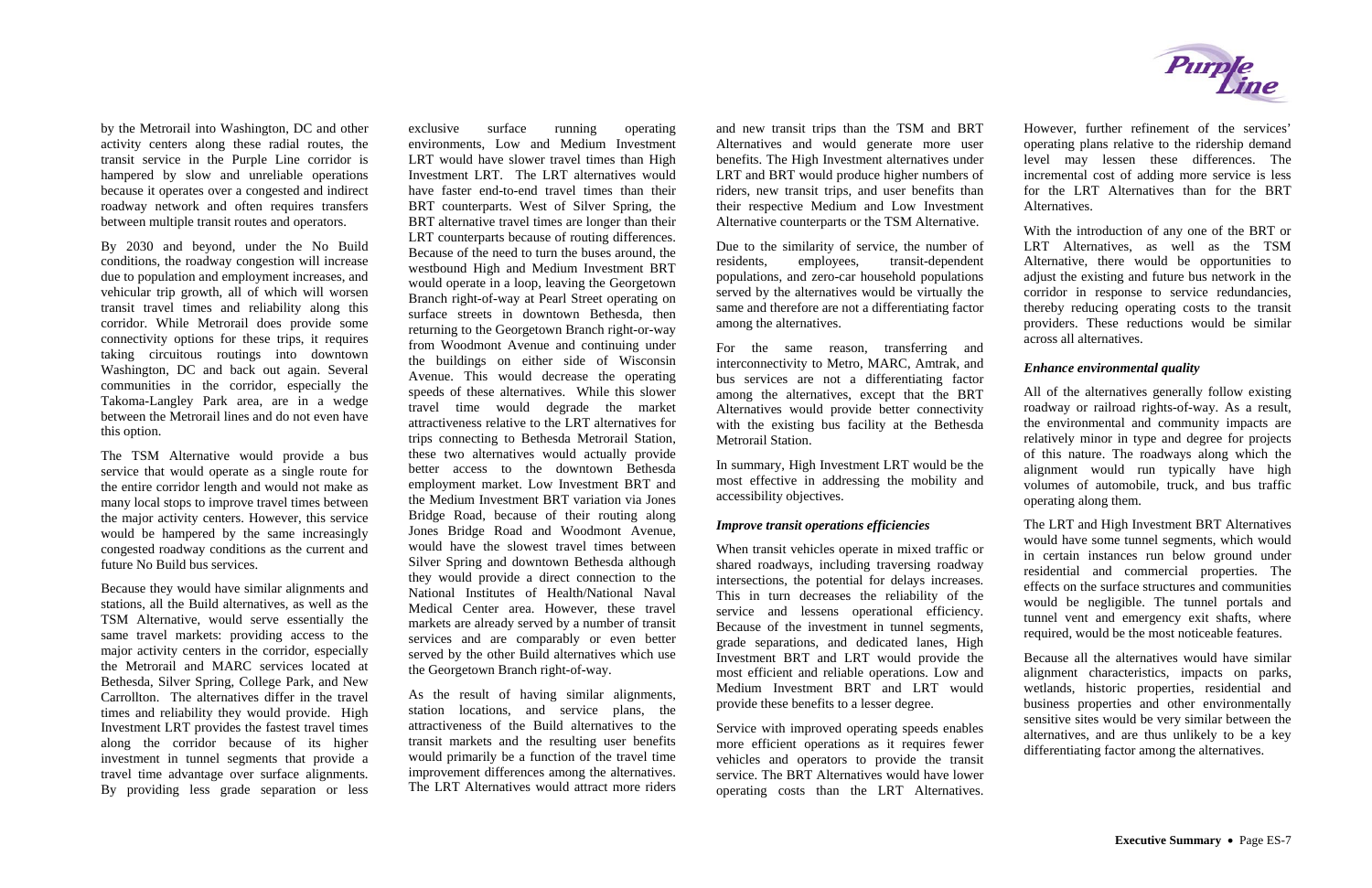by the Metrorail into Washington, DC and other activity centers along these radial routes, the transit service in the Purple Line corridor is hampered by slow and unreliable operations because it operates over a congested and indirect roadway network and often requires transfers between multiple transit routes and operators.

By 2030 and beyond, under the No Build conditions, the roadway congestion will increase due to population and employment increases, and vehicular trip growth, all of which will worsen transit travel times and reliability along this corridor. While Metrorail does provide some connectivity options for these trips, it requires taking circuitous routings into downtown Washington, DC and back out again. Several communities in the corridor, especially the Takoma-Langley Park area, are in a wedge between the Metrorail lines and do not even have this option.

The TSM Alternative would provide a bus service that would operate as a single route for the entire corridor length and would not make as many local stops to improve travel times between the major activity centers. However, this service would be hampered by the same increasingly congested roadway conditions as the current and future No Build bus services.

Because they would have similar alignments and stations, all the Build alternatives, as well as the TSM Alternative, would serve essentially the same travel markets: providing access to the major activity centers in the corridor, especially the Metrorail and MARC services located at Bethesda, Silver Spring, College Park, and New Carrollton. The alternatives differ in the travel times and reliability they would provide. High Investment LRT provides the fastest travel times along the corridor because of its higher investment in tunnel segments that provide a travel time advantage over surface alignments. By providing less grade separation or less

exclusive surface running operating environments, Low and Medium Investment LRT would have slower travel times than High Investment LRT. The LRT alternatives would have faster end-to-end travel times than their BRT counterparts. West of Silver Spring, the BRT alternative travel times are longer than their LRT counterparts because of routing differences. Because of the need to turn the buses around, the westbound High and Medium Investment BRT would operate in a loop, leaving the Georgetown Branch right-of-way at Pearl Street operating on surface streets in downtown Bethesda, then returning to the Georgetown Branch right-or-way from Woodmont Avenue and continuing under the buildings on either side of Wisconsin Avenue. This would decrease the operating speeds of these alternatives. While this slower travel time would degrade the market attractiveness relative to the LRT alternatives for trips connecting to Bethesda Metrorail Station, these two alternatives would actually provide better access to the downtown Bethesda employment market. Low Investment BRT and the Medium Investment BRT variation via Jones Bridge Road, because of their routing along Jones Bridge Road and Woodmont Avenue, would have the slowest travel times between Silver Spring and downtown Bethesda although they would provide a direct connection to the National Institutes of Health/National Naval Medical Center area. However, these travel markets are already served by a number of transit services and are comparably or even better served by the other Build alternatives which use the Georgetown Branch right-of-way.

As the result of having similar alignments, station locations, and service plans, the attractiveness of the Build alternatives to the transit markets and the resulting user benefits would primarily be a function of the travel time improvement differences among the alternatives. The LRT Alternatives would attract more riders

and new transit trips than the TSM and BRT Alternatives and would generate more user benefits. The High Investment alternatives under LRT and BRT would produce higher numbers of riders, new transit trips, and user benefits than their respective Medium and Low Investment Alternative counterparts or the TSM Alternative.

Due to the similarity of service, the number of residents, employees, transit-dependent populations, and zero-car household populations served by the alternatives would be virtually the same and therefore are not a differentiating factor among the alternatives.

For the same reason, transferring and interconnectivity to Metro, MARC, Amtrak, and bus services are not a differentiating factor among the alternatives, except that the BRT Alternatives would provide better connectivity with the existing bus facility at the Bethesda Metrorail Station.

In summary, High Investment LRT would be the most effective in addressing the mobility and accessibility objectives.

#### *Improve transit operations efficiencies*

When transit vehicles operate in mixed traffic or shared roadways, including traversing roadway intersections, the potential for delays increases. This in turn decreases the reliability of the service and lessens operational efficiency. Because of the investment in tunnel segments, grade separations, and dedicated lanes, High Investment BRT and LRT would provide the most efficient and reliable operations. Low and Medium Investment BRT and LRT would provide these benefits to a lesser degree.

Service with improved operating speeds enables more efficient operations as it requires fewer vehicles and operators to provide the transit service. The BRT Alternatives would have lower operating costs than the LRT Alternatives.



However, further refinement of the services' operating plans relative to the ridership demand level may lessen these differences. The incremental cost of adding more service is less for the LRT Alternatives than for the BRT Alternatives.

With the introduction of any one of the BRT or LRT Alternatives, as well as the TSM Alternative, there would be opportunities to adjust the existing and future bus network in the corridor in response to service redundancies, thereby reducing operating costs to the transit providers. These reductions would be similar across all alternatives.

#### *Enhance environmental quality*

All of the alternatives generally follow existing roadway or railroad rights-of-way. As a result, the environmental and community impacts are relatively minor in type and degree for projects of this nature. The roadways along which the alignment would run typically have high volumes of automobile, truck, and bus traffic operating along them.

The LRT and High Investment BRT Alternatives would have some tunnel segments, which would in certain instances run below ground under residential and commercial properties. The effects on the surface structures and communities would be negligible. The tunnel portals and tunnel vent and emergency exit shafts, where required, would be the most noticeable features.

Because all the alternatives would have similar alignment characteristics, impacts on parks, wetlands, historic properties, residential and business properties and other environmentally sensitive sites would be very similar between the alternatives, and are thus unlikely to be a key differentiating factor among the alternatives.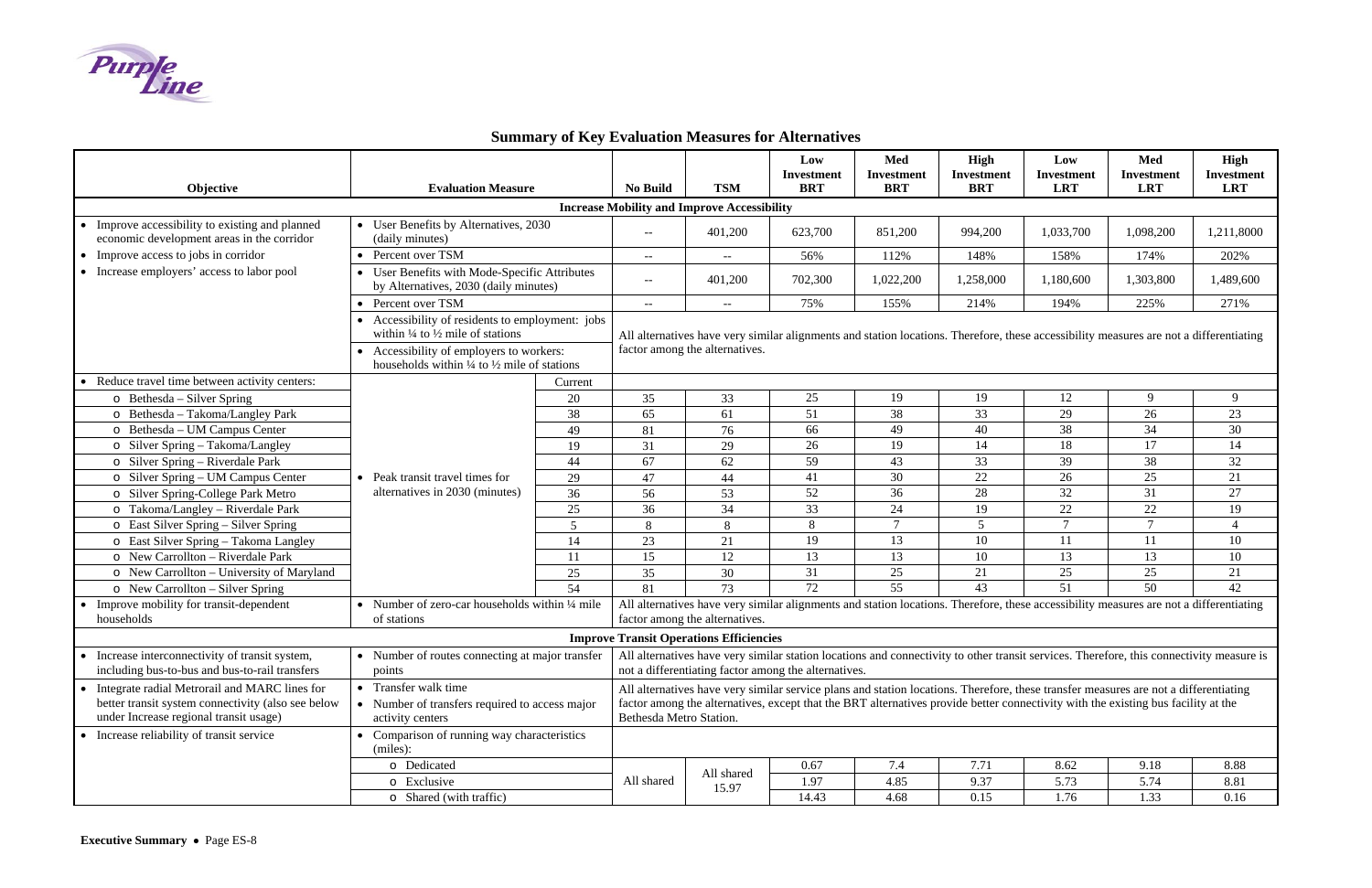# **Summary of Key Evaluation Measures for Alternatives**



| Objective                                                                                                                                                      | <b>Evaluation Measure</b>                                                                                     |                                                                                                                                                                                                                                                                                                      | <b>No Build</b>                                                                                                                                                                                  | <b>TSM</b>                                     | Low<br>Investment<br><b>BRT</b> | Med<br><b>Investment</b><br><b>BRT</b> | High<br><b>Investment</b><br><b>BRT</b> | Low<br><b>Investment</b><br><b>LRT</b> | Med<br><b>Investment</b><br><b>LRT</b> | High<br><b>Investment</b><br><b>LRT</b> |  |
|----------------------------------------------------------------------------------------------------------------------------------------------------------------|---------------------------------------------------------------------------------------------------------------|------------------------------------------------------------------------------------------------------------------------------------------------------------------------------------------------------------------------------------------------------------------------------------------------------|--------------------------------------------------------------------------------------------------------------------------------------------------------------------------------------------------|------------------------------------------------|---------------------------------|----------------------------------------|-----------------------------------------|----------------------------------------|----------------------------------------|-----------------------------------------|--|
| <b>Increase Mobility and Improve Accessibility</b>                                                                                                             |                                                                                                               |                                                                                                                                                                                                                                                                                                      |                                                                                                                                                                                                  |                                                |                                 |                                        |                                         |                                        |                                        |                                         |  |
| • Improve accessibility to existing and planned<br>economic development areas in the corridor                                                                  | • User Benefits by Alternatives, 2030<br>(daily minutes)                                                      |                                                                                                                                                                                                                                                                                                      | $- -$                                                                                                                                                                                            | 401,200                                        | 623,700                         | 851,200                                | 994,200                                 | 1,033,700                              | 1,098,200                              | 1,211,8000                              |  |
| • Improve access to jobs in corridor                                                                                                                           | Percent over TSM                                                                                              |                                                                                                                                                                                                                                                                                                      | $--$                                                                                                                                                                                             | $- -$                                          | 56%                             | 112%                                   | 148%                                    | 158%                                   | 174%                                   | 202%                                    |  |
| • Increase employers' access to labor pool                                                                                                                     | • User Benefits with Mode-Specific Attributes<br>by Alternatives, 2030 (daily minutes)                        |                                                                                                                                                                                                                                                                                                      | $--$                                                                                                                                                                                             | 401,200                                        | 702,300                         | 1,022,200                              | 1,258,000                               | 1,180,600                              | 1,303,800                              | 1,489,600                               |  |
|                                                                                                                                                                | Percent over TSM<br>$\bullet$                                                                                 |                                                                                                                                                                                                                                                                                                      | $\mathbb{L}^{\mathbb{L}}$                                                                                                                                                                        | $- -$                                          | 75%                             | 155%                                   | 214%                                    | 194%                                   | 225%                                   | 271%                                    |  |
|                                                                                                                                                                | • Accessibility of residents to employment: jobs<br>within $\frac{1}{4}$ to $\frac{1}{2}$ mile of stations    |                                                                                                                                                                                                                                                                                                      | All alternatives have very similar alignments and station locations. Therefore, these accessibility measures are not a differentiating<br>factor among the alternatives.                         |                                                |                                 |                                        |                                         |                                        |                                        |                                         |  |
|                                                                                                                                                                | • Accessibility of employers to workers:<br>households within $\frac{1}{4}$ to $\frac{1}{2}$ mile of stations |                                                                                                                                                                                                                                                                                                      |                                                                                                                                                                                                  |                                                |                                 |                                        |                                         |                                        |                                        |                                         |  |
| Reduce travel time between activity centers:                                                                                                                   |                                                                                                               | Current                                                                                                                                                                                                                                                                                              |                                                                                                                                                                                                  |                                                |                                 |                                        |                                         |                                        |                                        |                                         |  |
| $\circ$ Bethesda – Silver Spring                                                                                                                               |                                                                                                               | 20                                                                                                                                                                                                                                                                                                   | 35                                                                                                                                                                                               | 33                                             | 25                              | 19                                     | 19                                      | 12                                     | 9                                      | 9                                       |  |
| o Bethesda - Takoma/Langley Park                                                                                                                               |                                                                                                               | 38                                                                                                                                                                                                                                                                                                   | 65                                                                                                                                                                                               | 61                                             | 51                              | 38                                     | 33                                      | 29                                     | 26                                     | 23                                      |  |
| o Bethesda – UM Campus Center                                                                                                                                  |                                                                                                               | 49                                                                                                                                                                                                                                                                                                   | 81                                                                                                                                                                                               | 76                                             | 66                              | 49                                     | 40                                      | 38                                     | 34                                     | 30                                      |  |
| o Silver Spring - Takoma/Langley                                                                                                                               |                                                                                                               | 19                                                                                                                                                                                                                                                                                                   | 31                                                                                                                                                                                               | 29                                             | 26                              | 19                                     | 14                                      | 18                                     | 17                                     | 14                                      |  |
| o Silver Spring – Riverdale Park                                                                                                                               | • Peak transit travel times for<br>alternatives in 2030 (minutes)                                             | 44                                                                                                                                                                                                                                                                                                   | 67                                                                                                                                                                                               | 62                                             | 59                              | 43                                     | 33                                      | 39                                     | 38                                     | 32                                      |  |
| o Silver Spring – UM Campus Center                                                                                                                             |                                                                                                               | 29                                                                                                                                                                                                                                                                                                   | 47                                                                                                                                                                                               | 44                                             | 41                              | 30                                     | 22                                      | 26                                     | 25                                     | 21                                      |  |
| o Silver Spring-College Park Metro                                                                                                                             |                                                                                                               | 36                                                                                                                                                                                                                                                                                                   | 56                                                                                                                                                                                               | 53                                             | 52                              | 36                                     | 28                                      | 32                                     | 31                                     | 27                                      |  |
| o Takoma/Langley – Riverdale Park                                                                                                                              |                                                                                                               | $25\,$                                                                                                                                                                                                                                                                                               | 36                                                                                                                                                                                               | 34                                             | 33                              | 24                                     | 19                                      | 22                                     | $22\,$                                 | 19                                      |  |
| o East Silver Spring – Silver Spring                                                                                                                           |                                                                                                               | $\overline{5}$                                                                                                                                                                                                                                                                                       | 8                                                                                                                                                                                                | 8                                              | 8                               | $\tau$                                 | 5                                       | $\tau$                                 | $\tau$                                 | $\overline{4}$                          |  |
| o East Silver Spring - Takoma Langley                                                                                                                          |                                                                                                               | 14                                                                                                                                                                                                                                                                                                   | 23                                                                                                                                                                                               | 21                                             | 19                              | 13                                     | 10                                      | 11                                     | 11                                     | 10                                      |  |
| o New Carrollton – Riverdale Park                                                                                                                              |                                                                                                               | 11                                                                                                                                                                                                                                                                                                   | 15                                                                                                                                                                                               | 12                                             | 13                              | 13                                     | 10                                      | 13                                     | 13                                     | 10                                      |  |
| o New Carrollton - University of Maryland                                                                                                                      |                                                                                                               | 25                                                                                                                                                                                                                                                                                                   | 35                                                                                                                                                                                               | 30                                             | 31                              | 25                                     | 21                                      | 25                                     | 25                                     | 21                                      |  |
| $\circ$ New Carrollton – Silver Spring                                                                                                                         |                                                                                                               | 54                                                                                                                                                                                                                                                                                                   | 81                                                                                                                                                                                               | 73                                             | 72                              | 55                                     | 43                                      | 51                                     | 50                                     | 42                                      |  |
| Improve mobility for transit-dependent<br>$\bullet$<br>households                                                                                              | • Number of zero-car households within $\frac{1}{4}$ mile<br>of stations                                      |                                                                                                                                                                                                                                                                                                      | All alternatives have very similar alignments and station locations. Therefore, these accessibility measures are not a differentiating<br>factor among the alternatives.                         |                                                |                                 |                                        |                                         |                                        |                                        |                                         |  |
|                                                                                                                                                                |                                                                                                               |                                                                                                                                                                                                                                                                                                      |                                                                                                                                                                                                  | <b>Improve Transit Operations Efficiencies</b> |                                 |                                        |                                         |                                        |                                        |                                         |  |
| • Increase interconnectivity of transit system,<br>• Number of routes connecting at major transfer<br>including bus-to-bus and bus-to-rail transfers<br>points |                                                                                                               |                                                                                                                                                                                                                                                                                                      | All alternatives have very similar station locations and connectivity to other transit services. Therefore, this connectivity measure is<br>not a differentiating factor among the alternatives. |                                                |                                 |                                        |                                         |                                        |                                        |                                         |  |
| • Integrate radial Metrorail and MARC lines for<br>better transit system connectivity (also see below<br>under Increase regional transit usage)                | • Transfer walk time<br>• Number of transfers required to access major<br>activity centers                    | All alternatives have very similar service plans and station locations. Therefore, these transfer measures are not a differentiating<br>factor among the alternatives, except that the BRT alternatives provide better connectivity with the existing bus facility at the<br>Bethesda Metro Station. |                                                                                                                                                                                                  |                                                |                                 |                                        |                                         |                                        |                                        |                                         |  |
| • Increase reliability of transit service                                                                                                                      | Comparison of running way characteristics<br>(miles):                                                         |                                                                                                                                                                                                                                                                                                      |                                                                                                                                                                                                  |                                                |                                 |                                        |                                         |                                        |                                        |                                         |  |
|                                                                                                                                                                | o Dedicated                                                                                                   |                                                                                                                                                                                                                                                                                                      |                                                                                                                                                                                                  |                                                | 0.67                            | 7.4                                    | 7.71                                    | 8.62                                   | 9.18                                   | 8.88                                    |  |
|                                                                                                                                                                | o Exclusive                                                                                                   |                                                                                                                                                                                                                                                                                                      | All shared                                                                                                                                                                                       | All shared<br>15.97                            | 1.97                            | 4.85                                   | 9.37                                    | 5.73                                   | 5.74                                   | 8.81                                    |  |
|                                                                                                                                                                | o Shared (with traffic)                                                                                       |                                                                                                                                                                                                                                                                                                      |                                                                                                                                                                                                  |                                                | 14.43                           | 4.68                                   | 0.15                                    | 1.76                                   | 1.33                                   | 0.16                                    |  |
|                                                                                                                                                                |                                                                                                               |                                                                                                                                                                                                                                                                                                      |                                                                                                                                                                                                  |                                                |                                 |                                        |                                         |                                        |                                        |                                         |  |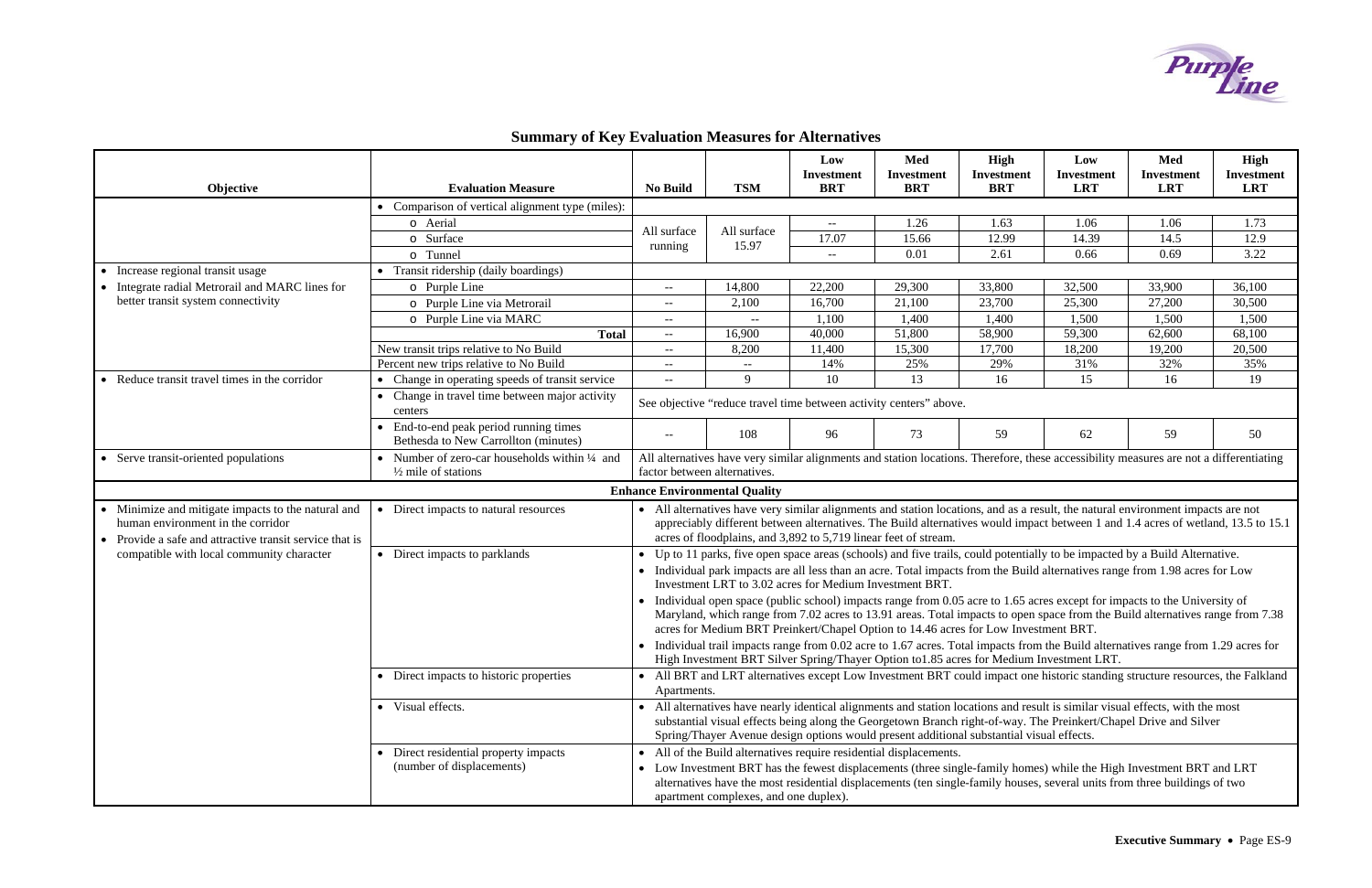# **Summary of Key Evaluation Measures for Alternatives**



| Objective                                                                                                                                      | <b>Evaluation Measure</b>                                                                                                                                                                                                                                                                                                                          | <b>No Build</b>                                                                                                                                                                                                                                                                                                                                                 | <b>TSM</b>                           | Low<br>Investment<br><b>BRT</b> | Med<br><b>Investment</b><br><b>BRT</b> | High<br><b>Investment</b><br><b>BRT</b> | Low<br><b>Investment</b><br><b>LRT</b>                                                                                       | Med<br><b>Investment</b><br><b>LRT</b> | High<br>Investment<br><b>LRT</b> |  |
|------------------------------------------------------------------------------------------------------------------------------------------------|----------------------------------------------------------------------------------------------------------------------------------------------------------------------------------------------------------------------------------------------------------------------------------------------------------------------------------------------------|-----------------------------------------------------------------------------------------------------------------------------------------------------------------------------------------------------------------------------------------------------------------------------------------------------------------------------------------------------------------|--------------------------------------|---------------------------------|----------------------------------------|-----------------------------------------|------------------------------------------------------------------------------------------------------------------------------|----------------------------------------|----------------------------------|--|
|                                                                                                                                                | • Comparison of vertical alignment type (miles):                                                                                                                                                                                                                                                                                                   |                                                                                                                                                                                                                                                                                                                                                                 |                                      |                                 |                                        |                                         |                                                                                                                              |                                        |                                  |  |
|                                                                                                                                                | o Aerial                                                                                                                                                                                                                                                                                                                                           |                                                                                                                                                                                                                                                                                                                                                                 | All surface<br>15.97                 | $--$                            | 1.26                                   | 1.63                                    | 1.06                                                                                                                         | 1.06                                   | 1.73                             |  |
|                                                                                                                                                | o Surface                                                                                                                                                                                                                                                                                                                                          | All surface                                                                                                                                                                                                                                                                                                                                                     |                                      | 17.07                           | 15.66                                  | 12.99                                   | 14.39                                                                                                                        | 14.5                                   | 12.9                             |  |
|                                                                                                                                                | o Tunnel                                                                                                                                                                                                                                                                                                                                           | running                                                                                                                                                                                                                                                                                                                                                         |                                      | $--$                            | 0.01                                   | 2.61                                    | 0.66                                                                                                                         | 0.69                                   | 3.22                             |  |
| • Increase regional transit usage                                                                                                              | • Transit ridership (daily boardings)                                                                                                                                                                                                                                                                                                              |                                                                                                                                                                                                                                                                                                                                                                 |                                      |                                 |                                        |                                         |                                                                                                                              |                                        |                                  |  |
| Integrate radial Metrorail and MARC lines for                                                                                                  | o Purple Line                                                                                                                                                                                                                                                                                                                                      | --                                                                                                                                                                                                                                                                                                                                                              | 14,800                               | 22,200                          | 29,300                                 | 33,800                                  | 32,500                                                                                                                       | 33,900                                 | 36,100                           |  |
| better transit system connectivity                                                                                                             | o Purple Line via Metrorail                                                                                                                                                                                                                                                                                                                        | --                                                                                                                                                                                                                                                                                                                                                              | 2,100                                | 16,700                          | 21,100                                 | 23,700                                  | 25,300                                                                                                                       | 27,200                                 | 30,500                           |  |
|                                                                                                                                                | o Purple Line via MARC                                                                                                                                                                                                                                                                                                                             | $--$                                                                                                                                                                                                                                                                                                                                                            | $- -$                                | 1,100                           | 1,400                                  | 1,400                                   | 1,500                                                                                                                        | 1,500                                  | 1,500                            |  |
|                                                                                                                                                | <b>Total</b>                                                                                                                                                                                                                                                                                                                                       | $- -$                                                                                                                                                                                                                                                                                                                                                           | 16,900                               | 40,000                          | 51,800                                 | 58,900                                  | 59,300                                                                                                                       | 62,600                                 | 68,100                           |  |
|                                                                                                                                                | New transit trips relative to No Build                                                                                                                                                                                                                                                                                                             | $- -$                                                                                                                                                                                                                                                                                                                                                           | 8,200                                | 11,400                          | 15,300                                 | 17,700                                  | 18,200                                                                                                                       | 19,200                                 | 20,500                           |  |
|                                                                                                                                                | Percent new trips relative to No Build                                                                                                                                                                                                                                                                                                             | $- -$                                                                                                                                                                                                                                                                                                                                                           | $\overline{\phantom{a}}$             | 14%                             | 25%                                    | 29%                                     | 31%                                                                                                                          | 32%                                    | 35%                              |  |
| Reduce transit travel times in the corridor                                                                                                    | • Change in operating speeds of transit service                                                                                                                                                                                                                                                                                                    | $--$                                                                                                                                                                                                                                                                                                                                                            | 9                                    | 10                              | 13                                     | 16                                      | 15                                                                                                                           | 16                                     | 19                               |  |
|                                                                                                                                                | • Change in travel time between major activity<br>See objective "reduce travel time between activity centers" above.<br>centers                                                                                                                                                                                                                    |                                                                                                                                                                                                                                                                                                                                                                 |                                      |                                 |                                        |                                         |                                                                                                                              |                                        |                                  |  |
|                                                                                                                                                | End-to-end peak period running times<br>Bethesda to New Carrollton (minutes)                                                                                                                                                                                                                                                                       | $--$                                                                                                                                                                                                                                                                                                                                                            | 108                                  | 96                              | 73                                     | 59                                      | 62                                                                                                                           | 59                                     | 50                               |  |
| Serve transit-oriented populations                                                                                                             | • Number of zero-car households within $\frac{1}{4}$ and<br>$\frac{1}{2}$ mile of stations                                                                                                                                                                                                                                                         | All alternatives have very similar alignments and station locations. Therefore, these accessibility measures are not a differentiating<br>factor between alternatives.                                                                                                                                                                                          |                                      |                                 |                                        |                                         |                                                                                                                              |                                        |                                  |  |
|                                                                                                                                                |                                                                                                                                                                                                                                                                                                                                                    |                                                                                                                                                                                                                                                                                                                                                                 | <b>Enhance Environmental Quality</b> |                                 |                                        |                                         |                                                                                                                              |                                        |                                  |  |
| Minimize and mitigate impacts to the natural and<br>human environment in the corridor<br>Provide a safe and attractive transit service that is | • Direct impacts to natural resources                                                                                                                                                                                                                                                                                                              | • All alternatives have very similar alignments and station locations, and as a result, the natural environment impacts are not<br>appreciably different between alternatives. The Build alternatives would impact between 1 and 1.4 acres of wetland, 13.5 to 15.1<br>acres of floodplains, and 3,892 to 5,719 linear feet of stream.                          |                                      |                                 |                                        |                                         |                                                                                                                              |                                        |                                  |  |
| compatible with local community character                                                                                                      | • Direct impacts to parklands                                                                                                                                                                                                                                                                                                                      |                                                                                                                                                                                                                                                                                                                                                                 |                                      |                                 |                                        |                                         | • Up to 11 parks, five open space areas (schools) and five trails, could potentially to be impacted by a Build Alternative.  |                                        |                                  |  |
|                                                                                                                                                |                                                                                                                                                                                                                                                                                                                                                    |                                                                                                                                                                                                                                                                                                                                                                 |                                      |                                 |                                        |                                         | • Individual park impacts are all less than an acre. Total impacts from the Build alternatives range from 1.98 acres for Low |                                        |                                  |  |
|                                                                                                                                                |                                                                                                                                                                                                                                                                                                                                                    | Investment LRT to 3.02 acres for Medium Investment BRT.                                                                                                                                                                                                                                                                                                         |                                      |                                 |                                        |                                         |                                                                                                                              |                                        |                                  |  |
|                                                                                                                                                | • Individual open space (public school) impacts range from 0.05 acre to 1.65 acres except for impacts to the University of<br>Maryland, which range from 7.02 acres to 13.91 areas. Total impacts to open space from the Build alternatives range from 7.38<br>acres for Medium BRT Preinkert/Chapel Option to 14.46 acres for Low Investment BRT. |                                                                                                                                                                                                                                                                                                                                                                 |                                      |                                 |                                        |                                         |                                                                                                                              |                                        |                                  |  |
|                                                                                                                                                | • Individual trail impacts range from 0.02 acre to 1.67 acres. Total impacts from the Build alternatives range from 1.29 acres for<br>High Investment BRT Silver Spring/Thayer Option to 1.85 acres for Medium Investment LRT.                                                                                                                     |                                                                                                                                                                                                                                                                                                                                                                 |                                      |                                 |                                        |                                         |                                                                                                                              |                                        |                                  |  |
|                                                                                                                                                | • Direct impacts to historic properties                                                                                                                                                                                                                                                                                                            | • All BRT and LRT alternatives except Low Investment BRT could impact one historic standing structure resources, the Falkland<br>Apartments.                                                                                                                                                                                                                    |                                      |                                 |                                        |                                         |                                                                                                                              |                                        |                                  |  |
|                                                                                                                                                | • Visual effects.                                                                                                                                                                                                                                                                                                                                  | • All alternatives have nearly identical alignments and station locations and result is similar visual effects, with the most<br>substantial visual effects being along the Georgetown Branch right-of-way. The Preinkert/Chapel Drive and Silver<br>Spring/Thayer Avenue design options would present additional substantial visual effects.                   |                                      |                                 |                                        |                                         |                                                                                                                              |                                        |                                  |  |
|                                                                                                                                                | Direct residential property impacts<br>(number of displacements)                                                                                                                                                                                                                                                                                   | • All of the Build alternatives require residential displacements.<br>• Low Investment BRT has the fewest displacements (three single-family homes) while the High Investment BRT and LRT<br>alternatives have the most residential displacements (ten single-family houses, several units from three buildings of two<br>apartment complexes, and one duplex). |                                      |                                 |                                        |                                         |                                                                                                                              |                                        |                                  |  |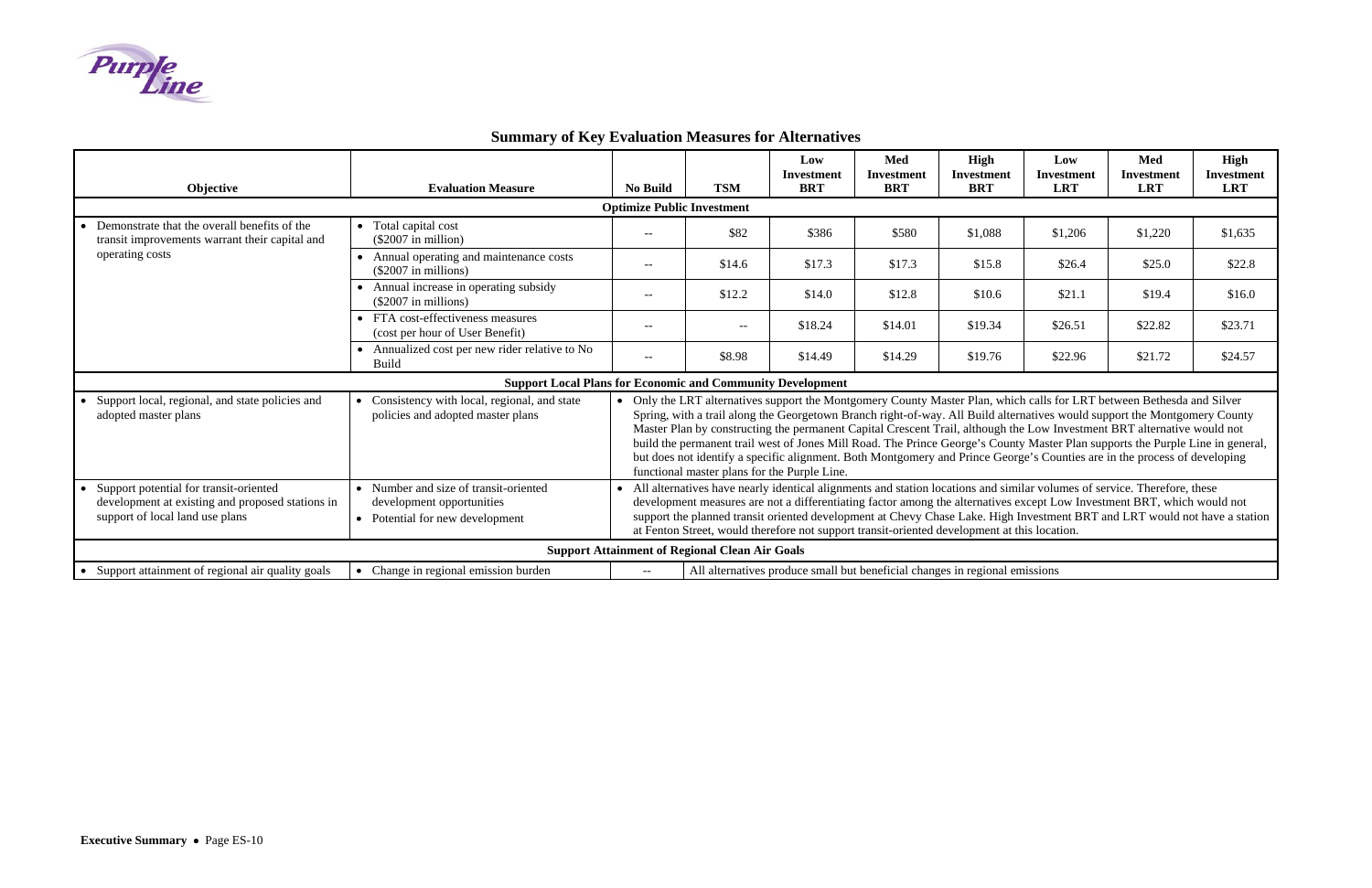# **Summary of Key Evaluation Measures for Alternatives**



| Objective                                                                                                                     | <b>Evaluation Measure</b>                                                                                                    | <b>No Build</b>                                                                                                                                                                                                                                                                                                                                                                                                                                                                                                                                                                                                                                                                               | <b>TSM</b>               | Low<br><b>Investment</b><br><b>BRT</b> | Med<br><b>Investment</b><br><b>BRT</b> | <b>High</b><br><b>Investment</b><br><b>BRT</b> | Low<br><b>Investment</b><br><b>LRT</b> | Med<br><b>Investment</b><br><b>LRT</b> | <b>High</b><br><b>Investment</b><br><b>LRT</b> |  |
|-------------------------------------------------------------------------------------------------------------------------------|------------------------------------------------------------------------------------------------------------------------------|-----------------------------------------------------------------------------------------------------------------------------------------------------------------------------------------------------------------------------------------------------------------------------------------------------------------------------------------------------------------------------------------------------------------------------------------------------------------------------------------------------------------------------------------------------------------------------------------------------------------------------------------------------------------------------------------------|--------------------------|----------------------------------------|----------------------------------------|------------------------------------------------|----------------------------------------|----------------------------------------|------------------------------------------------|--|
| <b>Optimize Public Investment</b>                                                                                             |                                                                                                                              |                                                                                                                                                                                                                                                                                                                                                                                                                                                                                                                                                                                                                                                                                               |                          |                                        |                                        |                                                |                                        |                                        |                                                |  |
| Demonstrate that the overall benefits of the<br>transit improvements warrant their capital and                                | • Total capital cost<br>$(\$2007$ in million)                                                                                | $-$                                                                                                                                                                                                                                                                                                                                                                                                                                                                                                                                                                                                                                                                                           | \$82                     | \$386                                  | \$580                                  | \$1,088                                        | \$1,206                                | \$1,220                                | \$1,635                                        |  |
| operating costs                                                                                                               | • Annual operating and maintenance costs<br>$(\$2007$ in millions)                                                           |                                                                                                                                                                                                                                                                                                                                                                                                                                                                                                                                                                                                                                                                                               | \$14.6                   | \$17.3                                 | \$17.3                                 | \$15.8                                         | \$26.4                                 | \$25.0                                 | \$22.8                                         |  |
|                                                                                                                               | • Annual increase in operating subsidy<br>$(\$2007$ in millions)                                                             | $--$                                                                                                                                                                                                                                                                                                                                                                                                                                                                                                                                                                                                                                                                                          | \$12.2                   | \$14.0                                 | \$12.8                                 | \$10.6                                         | \$21.1                                 | \$19.4                                 | \$16.0                                         |  |
|                                                                                                                               | • FTA cost-effectiveness measures<br>(cost per hour of User Benefit)                                                         | $--$                                                                                                                                                                                                                                                                                                                                                                                                                                                                                                                                                                                                                                                                                          | $\overline{\phantom{a}}$ | \$18.24                                | \$14.01                                | \$19.34                                        | \$26.51                                | \$22.82                                | \$23.71                                        |  |
|                                                                                                                               | • Annualized cost per new rider relative to No<br><b>Build</b>                                                               | $--$                                                                                                                                                                                                                                                                                                                                                                                                                                                                                                                                                                                                                                                                                          | \$8.98                   | \$14.49                                | \$14.29                                | \$19.76                                        | \$22.96                                | \$21.72                                | \$24.57                                        |  |
| <b>Support Local Plans for Economic and Community Development</b>                                                             |                                                                                                                              |                                                                                                                                                                                                                                                                                                                                                                                                                                                                                                                                                                                                                                                                                               |                          |                                        |                                        |                                                |                                        |                                        |                                                |  |
| Support local, regional, and state policies and<br>adopted master plans                                                       | • Consistency with local, regional, and state<br>policies and adopted master plans                                           | • Only the LRT alternatives support the Montgomery County Master Plan, which calls for LRT between Bethesda and Silver<br>Spring, with a trail along the Georgetown Branch right-of-way. All Build alternatives would support the Montgomery County<br>Master Plan by constructing the permanent Capital Crescent Trail, although the Low Investment BRT alternative would not<br>build the permanent trail west of Jones Mill Road. The Prince George's County Master Plan supports the Purple Line in general,<br>but does not identify a specific alignment. Both Montgomery and Prince George's Counties are in the process of developing<br>functional master plans for the Purple Line. |                          |                                        |                                        |                                                |                                        |                                        |                                                |  |
| Support potential for transit-oriented<br>development at existing and proposed stations in<br>support of local land use plans | • Number and size of transit-oriented<br>development opportunities<br>• Potential for new development                        | All alternatives have nearly identical alignments and station locations and similar volumes of service. Therefore, these<br>development measures are not a differentiating factor among the alternatives except Low Investment BRT, which would not<br>support the planned transit oriented development at Chevy Chase Lake. High Investment BRT and LRT would not have a station<br>at Fenton Street, would therefore not support transit-oriented development at this location.                                                                                                                                                                                                             |                          |                                        |                                        |                                                |                                        |                                        |                                                |  |
| <b>Support Attainment of Regional Clean Air Goals</b>                                                                         |                                                                                                                              |                                                                                                                                                                                                                                                                                                                                                                                                                                                                                                                                                                                                                                                                                               |                          |                                        |                                        |                                                |                                        |                                        |                                                |  |
| • Support attainment of regional air quality goals                                                                            | • Change in regional emission burden<br>All alternatives produce small but beneficial changes in regional emissions<br>$- -$ |                                                                                                                                                                                                                                                                                                                                                                                                                                                                                                                                                                                                                                                                                               |                          |                                        |                                        |                                                |                                        |                                        |                                                |  |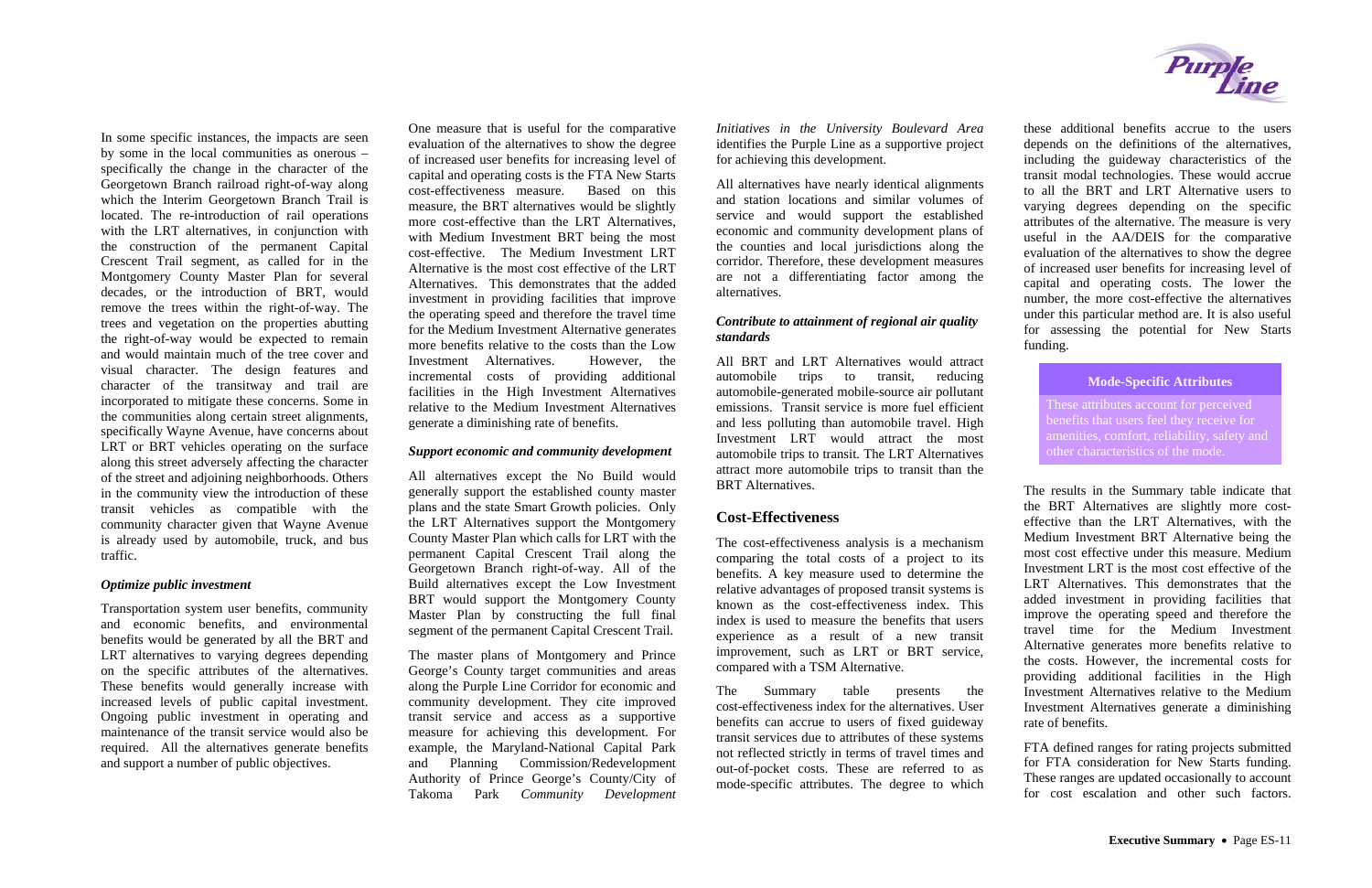In some specific instances, the impacts are seen by some in the local communities as onerous – specifically the change in the character of the Georgetown Branch railroad right-of-way along which the Interim Georgetown Branch Trail is located. The re-introduction of rail operations with the LRT alternatives, in conjunction with the construction of the permanent Capital Crescent Trail segment, as called for in the Montgomery County Master Plan for several decades, or the introduction of BRT, would remove the trees within the right-of-way. The trees and vegetation on the properties abutting the right-of-way would be expected to remain and would maintain much of the tree cover and visual character. The design features and character of the transitway and trail are incorporated to mitigate these concerns. Some in the communities along certain street alignments, specifically Wayne Avenue, have concerns about LRT or BRT vehicles operating on the surface along this street adversely affecting the character of the street and adjoining neighborhoods. Others in the community view the introduction of these transit vehicles as compatible with the community character given that Wayne Avenue is already used by automobile, truck, and bus traffic.

#### *Optimize public investment*

Transportation system user benefits, community and economic benefits, and environmental benefits would be generated by all the BRT and LRT alternatives to varying degrees depending on the specific attributes of the alternatives. These benefits would generally increase with increased levels of public capital investment. Ongoing public investment in operating and maintenance of the transit service would also be required. All the alternatives generate benefits and support a number of public objectives.

One measure that is useful for the comparative evaluation of the alternatives to show the degree of increased user benefits for increasing level of capital and operating costs is the FTA New Starts cost-effectiveness measure. Based on this measure, the BRT alternatives would be slightly more cost-effective than the LRT Alternatives, with Medium Investment BRT being the most cost-effective. The Medium Investment LRT Alternative is the most cost effective of the LRT Alternatives. This demonstrates that the added investment in providing facilities that improve the operating speed and therefore the travel time for the Medium Investment Alternative generates more benefits relative to the costs than the Low Investment Alternatives. However, the incremental costs of providing additional facilities in the High Investment Alternatives relative to the Medium Investment Alternatives generate a diminishing rate of benefits.

> The Summary table presents the cost-effectiveness index for the alternatives. User benefits can accrue to users of fixed guideway transit services due to attributes of these systems not reflected strictly in terms of travel times and out-of-pocket costs. These are referred to as mode-specific attributes. The degree to which



#### *Support economic and community development*

All alternatives except the No Build would generally support the established county master plans and the state Smart Growth policies. Only the LRT Alternatives support the Montgomery County Master Plan which calls for LRT with the permanent Capital Crescent Trail along the Georgetown Branch right-of-way. All of the Build alternatives except the Low Investment BRT would support the Montgomery County Master Plan by constructing the full final segment of the permanent Capital Crescent Trail.

The master plans of Montgomery and Prince George's County target communities and areas along the Purple Line Corridor for economic and community development. They cite improved transit service and access as a supportive measure for achieving this development. For example, the Maryland-National Capital Park and Planning Commission/Redevelopment Authority of Prince George's County/City of Takoma Park *Community Development* 

FTA defined ranges for rating projects submitted for FTA consideration for New Starts funding. These ranges are updated occasionally to account for cost escalation and other such factors.

*Initiatives in the University Boulevard Area* identifies the Purple Line as a supportive project for achieving this development.

All alternatives have nearly identical alignments and station locations and similar volumes of service and would support the established economic and community development plans of the counties and local jurisdictions along the corridor. Therefore, these development measures are not a differentiating factor among the alternatives.

#### *Contribute to attainment of regional air quality standards*

All BRT and LRT Alternatives would attract automobile trips to transit, reducing automobile-generated mobile-source air pollutant emissions. Transit service is more fuel efficient and less polluting than automobile travel. High Investment LRT would attract the most automobile trips to transit. The LRT Alternatives attract more automobile trips to transit than the BRT Alternatives.

## **Cost-Effectiveness**

The cost-effectiveness analysis is a mechanism comparing the total costs of a project to its benefits. A key measure used to determine the relative advantages of proposed transit systems is known as the cost-effectiveness index. This index is used to measure the benefits that users experience as a result of a new transit improvement, such as LRT or BRT service, compared with a TSM Alternative.

these additional benefits accrue to the users depends on the definitions of the alternatives, including the guideway characteristics of the transit modal technologies. These would accrue to all the BRT and LRT Alternative users to varying degrees depending on the specific attributes of the alternative. The measure is very useful in the AA/DEIS for the comparative evaluation of the alternatives to show the degree of increased user benefits for increasing level of capital and operating costs. The lower the number, the more cost-effective the alternatives under this particular method are. It is also useful for assessing the potential for New Starts funding.

These attributes account for perceived benefits that users feel they receive for amenities, comfort, reliability, safety and other characteristics of the mode.

## **Mode-Specific Attributes**

The results in the Summary table indicate that the BRT Alternatives are slightly more costeffective than the LRT Alternatives, with the Medium Investment BRT Alternative being the most cost effective under this measure. Medium Investment LRT is the most cost effective of the LRT Alternatives. This demonstrates that the added investment in providing facilities that improve the operating speed and therefore the travel time for the Medium Investment Alternative generates more benefits relative to the costs. However, the incremental costs for providing additional facilities in the High Investment Alternatives relative to the Medium Investment Alternatives generate a diminishing rate of benefits.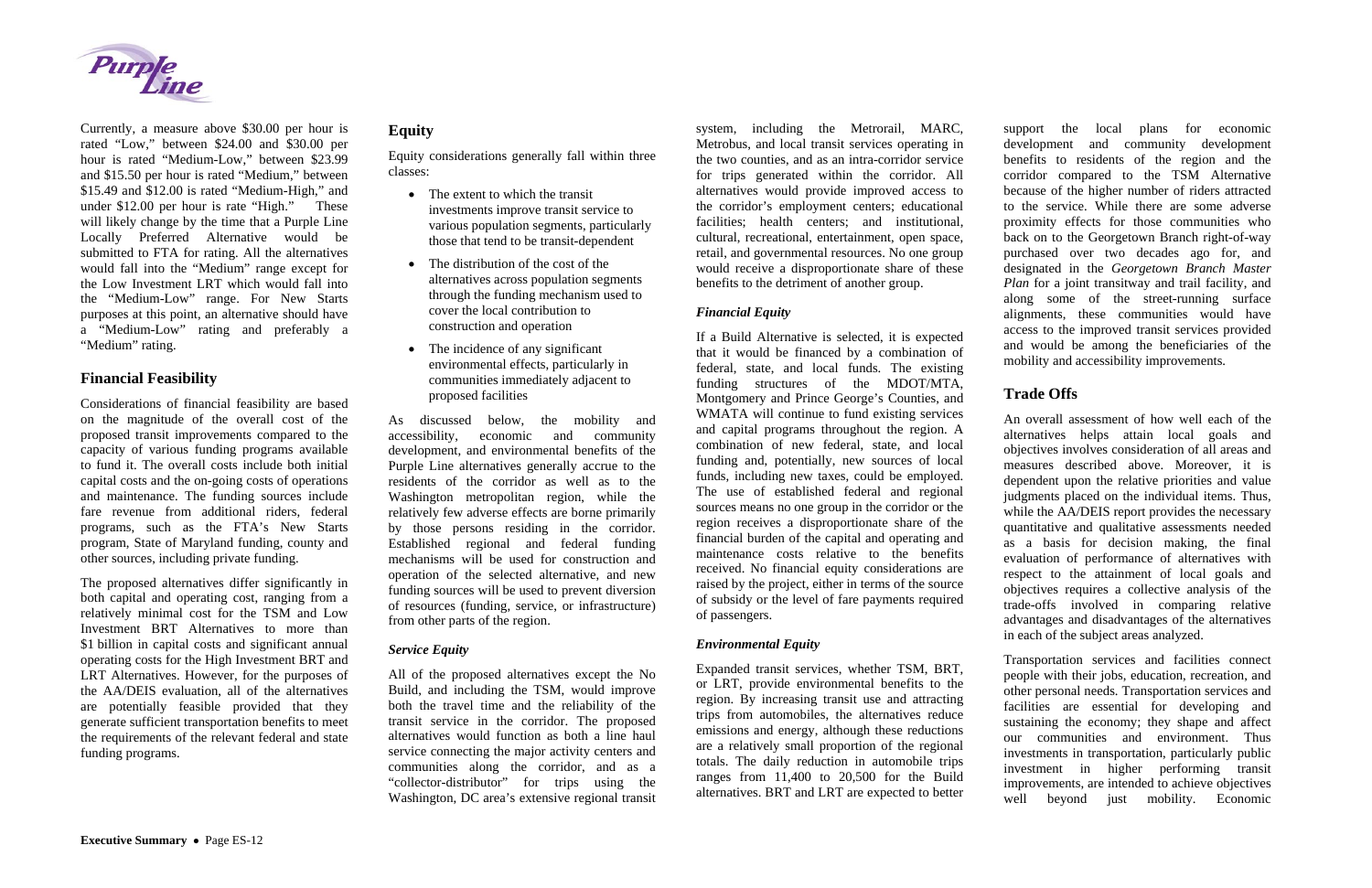

Currently, a measure above \$30.00 per hour is rated "Low," between \$24.00 and \$30.00 per hour is rated "Medium-Low," between \$23.99 and \$15.50 per hour is rated "Medium," between \$15.49 and \$12.00 is rated "Medium-High," and under \$12.00 per hour is rate "High." These will likely change by the time that a Purple Line Locally Preferred Alternative would be submitted to FTA for rating. All the alternatives would fall into the "Medium" range except for the Low Investment LRT which would fall into the "Medium-Low" range. For New Starts purposes at this point, an alternative should have <sup>a</sup>"Medium-Low" rating and preferably a "Medium" rating.

## **Financial Feasibility**

The proposed alternatives differ significantly in both capital and operating cost, ranging from a relatively minimal cost for the TSM and Low Investment BRT Alternatives to more than \$1 billion in capital costs and significant annual operating costs for the High Investment BRT and LRT Alternatives. However, for the purposes of the AA/DEIS evaluation, all of the alternatives are potentially feasible provided that they generate sufficient transportation benefits to meet the requirements of the relevant federal and state funding programs.

Considerations of financial feasibility are based on the magnitude of the overall cost of the proposed transit improvements compared to the capacity of various funding programs available to fund it. The overall costs include both initial capital costs and the on-going costs of operations and maintenance. The funding sources include fare revenue from additional riders, federal programs, such as the FTA's New Starts program, State of Maryland funding, county and other sources, including private funding.

- The extent to which the transit investments improve transit service to various population segments, particularly those that tend to be transit-dependent
- The distribution of the cost of the alternatives across population segments through the funding mechanism used to cover the local contribution to construction and operation
- The incidence of any significant environmental effects, particularly in communities immediately adjacent to proposed facilities

## **Equity**

Equity considerations generally fall within three classes:

As discussed below, the mobility and accessibility, economic and community development, and environmental benefits of the Purple Line alternatives generally accrue to the residents of the corridor as well as to the Washington metropolitan region, while the relatively few adverse effects are borne primarily by those persons residing in the corridor. Established regional and federal funding mechanisms will be used for construction and operation of the selected alternative, and new funding sources will be used to prevent diversion of resources (funding, service, or infrastructure) from other parts of the region.

## *Service Equity*

All of the proposed alternatives except the No Build, and including the TSM, would improve both the travel time and the reliability of the transit service in the corridor. The proposed alternatives would function as both a line haul service connecting the major activity centers and communities along the corridor, and as a "collector-distributor" for trips using the Washington, DC area's extensive regional transit system, including the Metrorail, MARC, Metrobus, and local transit services operating in the two counties, and as an intra-corridor service for trips generated within the corridor. All alternatives would provide improved access to the corridor's employment centers; educational facilities; health centers; and institutional, cultural, recreational, entertainment, open space, retail, and governmental resources. No one group would receive a disproportionate share of these benefits to the detriment of another group.

## *Financial Equity*

If a Build Alternative is selected, it is expected that it would be financed by a combination of federal, state, and local funds. The existing funding structures of the MDOT/MTA, Montgomery and Prince George's Counties, and WMATA will continue to fund existing services and capital programs throughout the region. A combination of new federal, state, and local funding and, potentially, new sources of local funds, including new taxes, could be employed. The use of established federal and regional sources means no one group in the corridor or the region receives a disproportionate share of the financial burden of the capital and operating and maintenance costs relative to the benefits received. No financial equity considerations are raised by the project, either in terms of the source of subsidy or the level of fare payments required of passengers.

## *Environmental Equity*

Expanded transit services, whether TSM, BRT, or LRT, provide environmental benefits to the region. By increasing transit use and attracting trips from automobiles, the alternatives reduce emissions and energy, although these reductions are a relatively small proportion of the regional totals. The daily reduction in automobile trips ranges from 11,400 to 20,500 for the Build alternatives. BRT and LRT are expected to better

support the local plans for economic development and community development benefits to residents of the region and the corridor compared to the TSM Alternative because of the higher number of riders attracted to the service. While there are some adverse proximity effects for those communities who back on to the Georgetown Branch right-of-way purchased over two decades ago for, and designated in the *Georgetown Branch Master Plan* for a joint transitway and trail facility, and along some of the street-running surface alignments, these communities would have access to the improved transit services provided and would be among the beneficiaries of the mobility and accessibility improvements.

## **Trade Offs**

An overall assessment of how well each of the alternatives helps attain local goals and objectives involves consideration of all areas and measures described above. Moreover, it is dependent upon the relative priorities and value judgments placed on the individual items. Thus, while the AA/DEIS report provides the necessary quantitative and qualitative assessments needed as a basis for decision making, the final evaluation of performance of alternatives with respect to the attainment of local goals and objectives requires a collective analysis of the trade-offs involved in comparing relative advantages and disadvantages of the alternatives in each of the subject areas analyzed.

Transportation services and facilities connect people with their jobs, education, recreation, and other personal needs. Transportation services and facilities are essential for developing and sustaining the economy; they shape and affect our communities and environment. Thus investments in transportation, particularly public investment in higher performing transit improvements, are intended to achieve objectives well beyond just mobility. Economic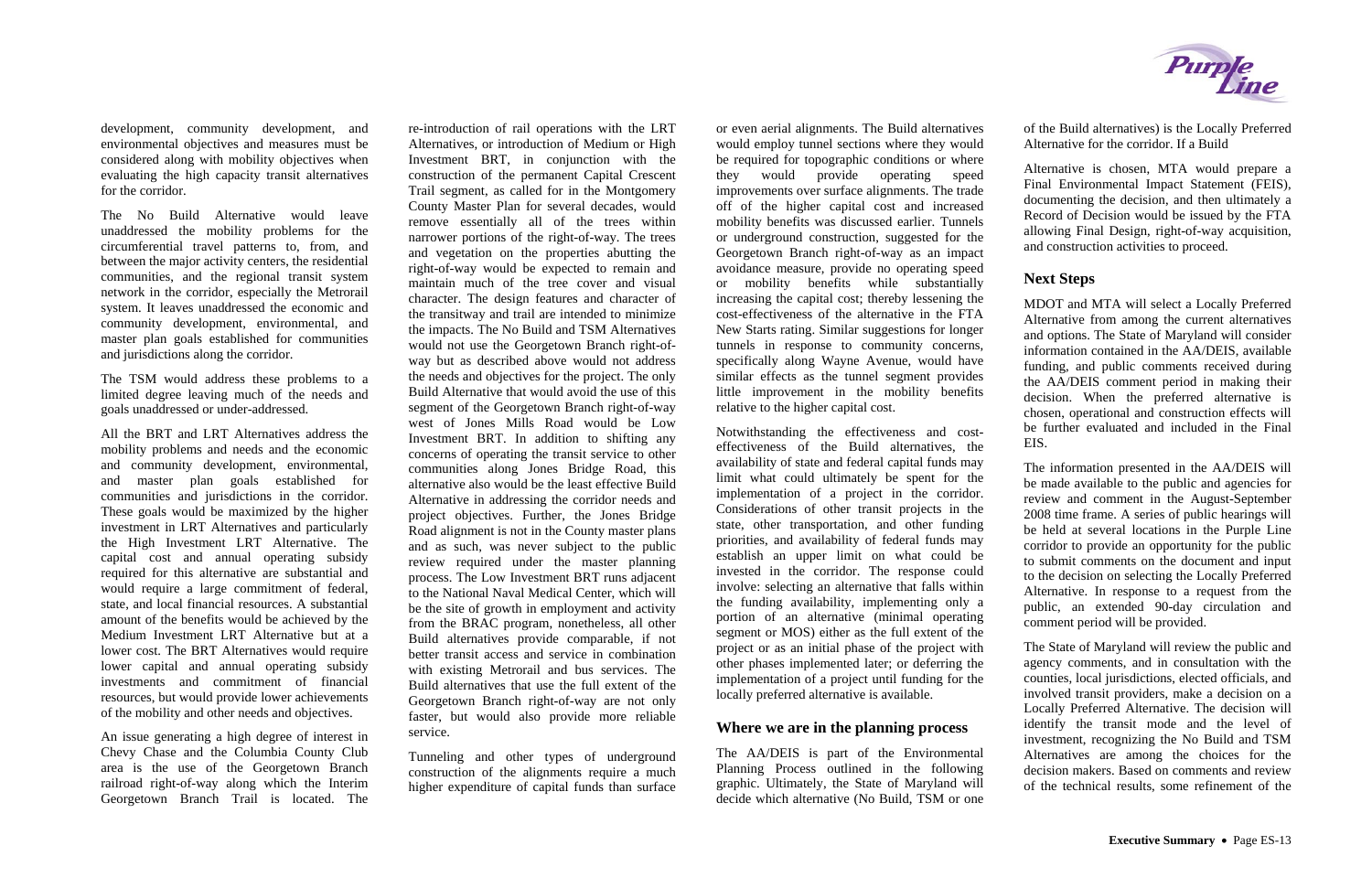development, community development, and environmental objectives and measures must be considered along with mobility objectives when evaluating the high capacity transit alternatives for the corridor.

The No Build Alternative would leave unaddressed the mobility problems for the circumferential travel patterns to, from, and between the major activity centers, the residential communities, and the regional transit system network in the corridor, especially the Metrorail system. It leaves unaddressed the economic and community development, environmental, and master plan goals established for communities and jurisdictions along the corridor.

The TSM would address these problems to a limited degree leaving much of the needs and goals unaddressed or under-addressed.

All the BRT and LRT Alternatives address the mobility problems and needs and the economic and community development, environmental, and master plan goals established for communities and jurisdictions in the corridor. These goals would be maximized by the higher investment in LRT Alternatives and particularly the High Investment LRT Alternative. The capital cost and annual operating subsidy required for this alternative are substantial and would require a large commitment of federal, state, and local financial resources. A substantial amount of the benefits would be achieved by the Medium Investment LRT Alternative but at a lower cost. The BRT Alternatives would require lower capital and annual operating subsidy investments and commitment of financial resources, but would provide lower achievements of the mobility and other needs and objectives.

An issue generating a high degree of interest in Chevy Chase and the Columbia County Club area is the use of the Georgetown Branch railroad right-of-way along which the Interim Georgetown Branch Trail is located. The re-introduction of rail operations with the LRT Alternatives, or introduction of Medium or High Investment BRT, in conjunction with the construction of the permanent Capital Crescent Trail segment, as called for in the Montgomery County Master Plan for several decades, would remove essentially all of the trees within narrower portions of the right-of-way. The trees and vegetation on the properties abutting the right-of-way would be expected to remain and maintain much of the tree cover and visual character. The design features and character of the transitway and trail are intended to minimize the impacts. The No Build and TSM Alternatives would not use the Georgetown Branch right-ofway but as described above would not address the needs and objectives for the project. The only Build Alternative that would avoid the use of this segment of the Georgetown Branch right-of-way west of Jones Mills Road would be Low Investment BRT. In addition to shifting any concerns of operating the transit service to other communities along Jones Bridge Road, this alternative also would be the least effective Build Alternative in addressing the corridor needs and project objectives. Further, the Jones Bridge Road alignment is not in the County master plans and as such, was never subject to the public review required under the master planning process. The Low Investment BRT runs adjacent to the National Naval Medical Center, which will be the site of growth in employment and activity from the BRAC program, nonetheless, all other Build alternatives provide comparable, if not better transit access and service in combination with existing Metrorail and bus services. The Build alternatives that use the full extent of the Georgetown Branch right-of-way are not only faster, but would also provide more reliable service.

Tunneling and other types of underground construction of the alignments require a much higher expenditure of capital funds than surface or even aerial alignments. The Build alternatives would employ tunnel sections where they would be required for topographic conditions or where they would provide operating speed improvements over surface alignments. The trade off of the higher capital cost and increased mobility benefits was discussed earlier. Tunnels or underground construction, suggested for the Georgetown Branch right-of-way as an impact avoidance measure, provide no operating speed or mobility benefits while substantially increasing the capital cost; thereby lessening the cost-effectiveness of the alternative in the FTA New Starts rating. Similar suggestions for longer tunnels in response to community concerns, specifically along Wayne Avenue, would have similar effects as the tunnel segment provides little improvement in the mobility benefits relative to the higher capital cost.

Notwithstanding the effectiveness and costeffectiveness of the Build alternatives, the availability of state and federal capital funds may limit what could ultimately be spent for the implementation of a project in the corridor. Considerations of other transit projects in the state, other transportation, and other funding priorities, and availability of federal funds may establish an upper limit on what could be invested in the corridor. The response could involve: selecting an alternative that falls within the funding availability, implementing only a portion of an alternative (minimal operating segment or MOS) either as the full extent of the project or as an initial phase of the project with other phases implemented later; or deferring the implementation of a project until funding for the locally preferred alternative is available.

## **Where we are in the planning process**

The AA/DEIS is part of the Environmental Planning Process outlined in the following graphic. Ultimately, the State of Maryland will decide which alternative (No Build, TSM or one



of the Build alternatives) is the Locally Preferred Alternative for the corridor. If a Build

Alternative is chosen, MTA would prepare a Final Environmental Impact Statement (FEIS), documenting the decision, and then ultimately a Record of Decision would be issued by the FTA allowing Final Design, right-of-way acquisition, and construction activities to proceed.

## **Next Steps**

MDOT and MTA will select a Locally Preferred Alternative from among the current alternatives and options. The State of Maryland will consider information contained in the AA/DEIS, available funding, and public comments received during the AA/DEIS comment period in making their decision. When the preferred alternative is chosen, operational and construction effects will be further evaluated and included in the Final EIS.

The information presented in the AA/DEIS will be made available to the public and agencies for review and comment in the August-September 2008 time frame. A series of public hearings will be held at several locations in the Purple Line corridor to provide an opportunity for the public to submit comments on the document and input to the decision on selecting the Locally Preferred Alternative. In response to a request from the public, an extended 90-day circulation and comment period will be provided.

The State of Maryland will review the public and agency comments, and in consultation with the counties, local jurisdictions, elected officials, and involved transit providers, make a decision on a Locally Preferred Alternative. The decision will identify the transit mode and the level of investment, recognizing the No Build and TSM Alternatives are among the choices for the decision makers. Based on comments and review of the technical results, some refinement of the